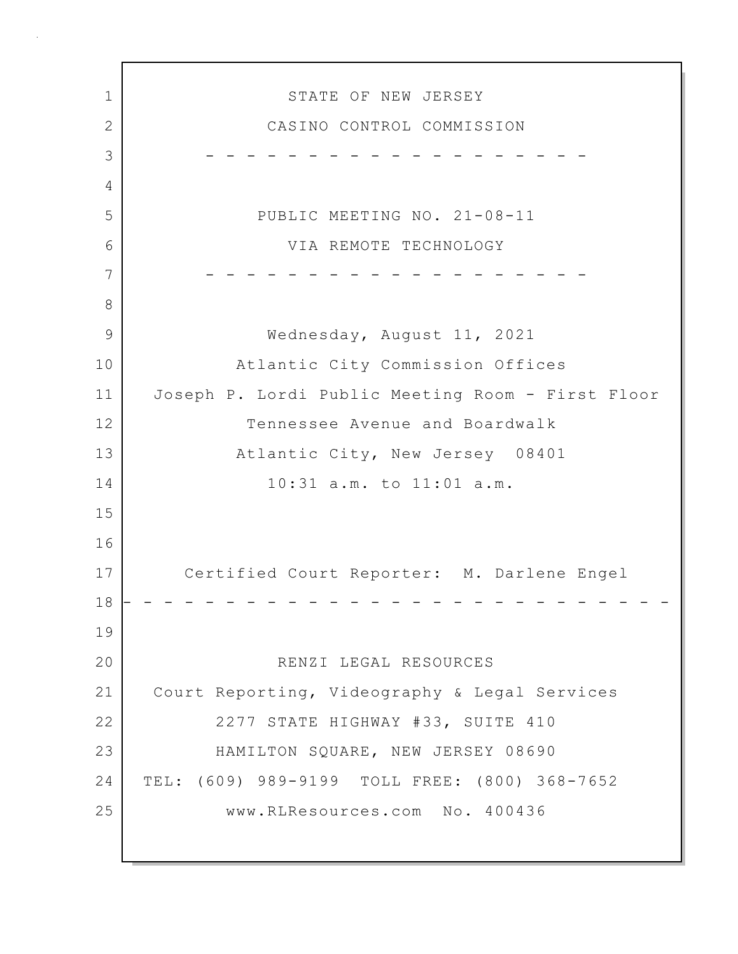1 STATE OF NEW JERSEY 2 CASINO CONTROL COMMISSION 3 - - - - - - - - - - - - - - - - - - - 4 5 PUBLIC MEETING NO. 21-08-11 6 VIA REMOTE TECHNOLOGY 7 - - - - - - - - - - - - - - - - - - - 8 9 Wednesday, August 11, 2021 10 Atlantic City Commission Offices 11 Joseph P. Lordi Public Meeting Room - First Floor 12 Tennessee Avenue and Boardwalk 13 Atlantic City, New Jersey 08401 14 10:31 a.m. to 11:01 a.m. 15 16 17 Certified Court Reporter: M. Darlene Engel 18 - - - - - - - - - - - - - - - - - - - - - - - - - - - 19 20 RENZI LEGAL RESOURCES 21 Court Reporting, Videography & Legal Services 22 2277 STATE HIGHWAY #33, SUITE 410 23 HAMILTON SQUARE, NEW JERSEY 08690 24 TEL: (609) 989-9199 TOLL FREE: (800) 368-7652 25 www.RLResources.com No. 400436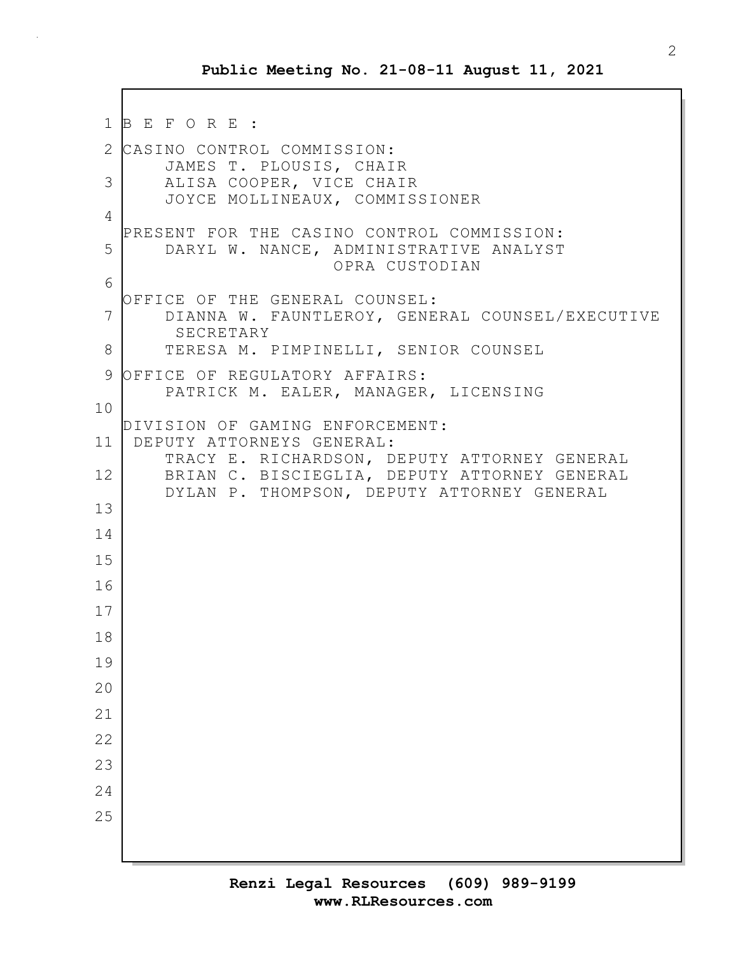```
1 B E F O R E :
2 CASINO CONTROL COMMISSION:
       JAMES T. PLOUSIS, CHAIR
 3 ALISA COOPER, VICE CHAIR
       JOYCE MOLLINEAUX, COMMISSIONER
4
  PRESENT FOR THE CASINO CONTROL COMMISSION:
5 DARYL W. NANCE, ADMINISTRATIVE ANALYST
                        OPRA CUSTODIAN
 6
  OFFICE OF THE GENERAL COUNSEL:
7 DIANNA W. FAUNTLEROY, GENERAL COUNSEL/EXECUTIVE
        SECRETARY
8 TERESA M. PIMPINELLI, SENIOR COUNSEL
9 OFFICE OF REGULATORY AFFAIRS:
       PATRICK M. EALER, MANAGER, LICENSING
10
  DIVISION OF GAMING ENFORCEMENT:
11 DEPUTY ATTORNEYS GENERAL:
       TRACY E. RICHARDSON, DEPUTY ATTORNEY GENERAL
12 BRIAN C. BISCIEGLIA, DEPUTY ATTORNEY GENERAL
       DYLAN P. THOMPSON, DEPUTY ATTORNEY GENERAL
13
14
15
16
17
18
19
20
21
22
23
24
25
```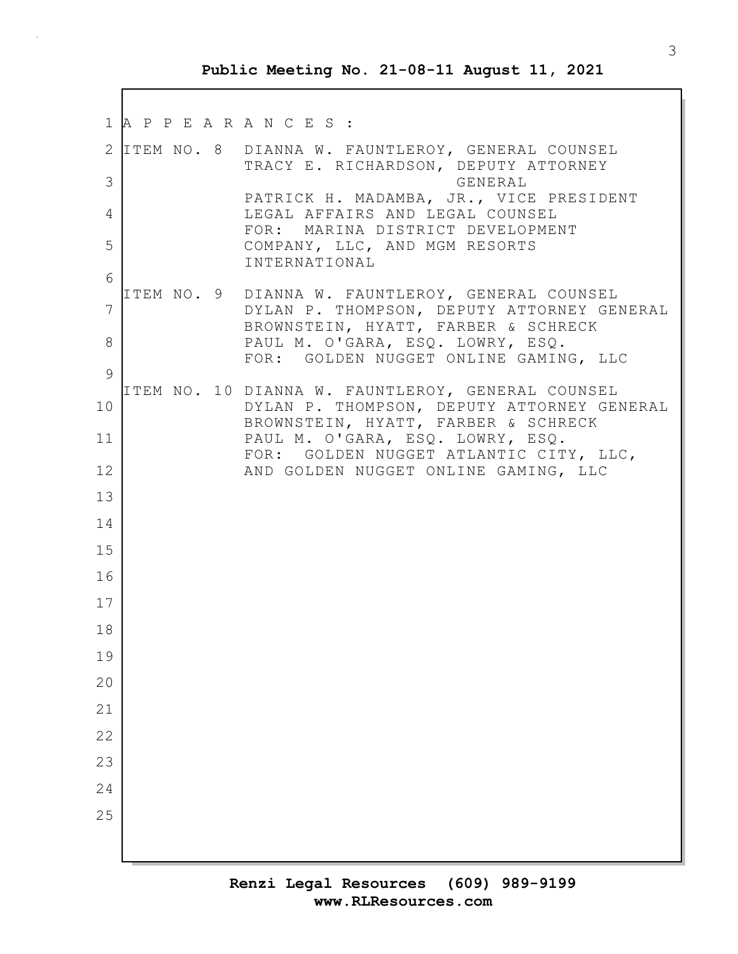1 A P P E A R A N C E S : 2 ITEM NO. 8 DIANNA W. FAUNTLEROY, GENERAL COUNSEL TRACY E. RICHARDSON, DEPUTY ATTORNEY 3 GENERAL PATRICK H. MADAMBA, JR., VICE PRESIDENT 4 LEGAL AFFAIRS AND LEGAL COUNSEL FOR: MARINA DISTRICT DEVELOPMENT 5 COMPANY, LLC, AND MGM RESORTS INTERNATIONAL 6 ITEM NO. 9 DIANNA W. FAUNTLEROY, GENERAL COUNSEL 7 DYLAN P. THOMPSON, DEPUTY ATTORNEY GENERAL BROWNSTEIN, HYATT, FARBER & SCHRECK 8 | PAUL M. O'GARA, ESQ. LOWRY, ESQ. FOR: GOLDEN NUGGET ONLINE GAMING, LLC 9 ITEM NO. 10 DIANNA W. FAUNTLEROY, GENERAL COUNSEL 10 DYLAN P. THOMPSON, DEPUTY ATTORNEY GENERAL BROWNSTEIN, HYATT, FARBER & SCHRECK 11 PAUL M. O'GARA, ESQ. LOWRY, ESQ. FOR: GOLDEN NUGGET ATLANTIC CITY, LLC, 12 AND GOLDEN NUGGET ONLINE GAMING, LLC 13 14 15 16 17 18 19 20 21 22 23 24 25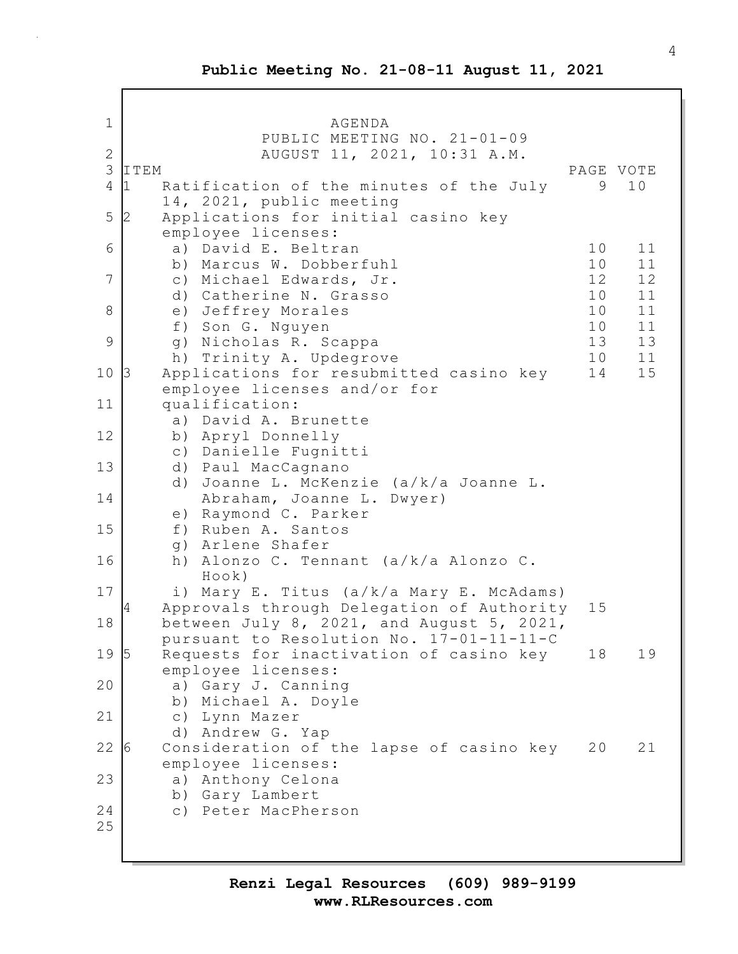1 | AGENDA PUBLIC MEETING NO. 21-01-09 2 AUGUST 11, 2021, 10:31 A.M. 3 ITEM PAGE VOTE 4 1 Ratification of the minutes of the July 9 10 14, 2021, public meeting 5 2 Applications for initial casino key employee licenses: 6 a) David E. Beltran 10 11 b) Marcus W. Dobberfuhl 10 11 7 c) Michael Edwards, Jr. 12 12 d) Catherine N. Grasso 10 11 8 e) Jeffrey Morales 10 11 f) Son G. Nguyen 10 11 9 g) Nicholas R. Scappa 13 13 h) Trinity A. Updegrove 10 11 10 3 Applications for resubmitted casino key 14 15 employee licenses and/or for 11 qualification: a) David A. Brunette 12 b) Apryl Donnelly c) Danielle Fugnitti 13 d) Paul MacCagnano d) Joanne L. McKenzie (a/k/a Joanne L. 14 Abraham, Joanne L. Dwyer) e) Raymond C. Parker 15 f) Ruben A. Santos g) Arlene Shafer 16 h) Alonzo C. Tennant (a/k/a Alonzo C. Hook) 17 i) Mary E. Titus (a/k/a Mary E. McAdams) 4 Approvals through Delegation of Authority 15 18 between July 8, 2021, and August 5, 2021, pursuant to Resolution No. 17-01-11-11-C 19 5 Requests for inactivation of casino key 18 19 employee licenses: 20 a) Gary J. Canning b) Michael A. Doyle 21 c) Lynn Mazer d) Andrew G. Yap 22 6 Consideration of the lapse of casino key 20 21 employee licenses: 23 a) Anthony Celona b) Gary Lambert 24 c) Peter MacPherson 25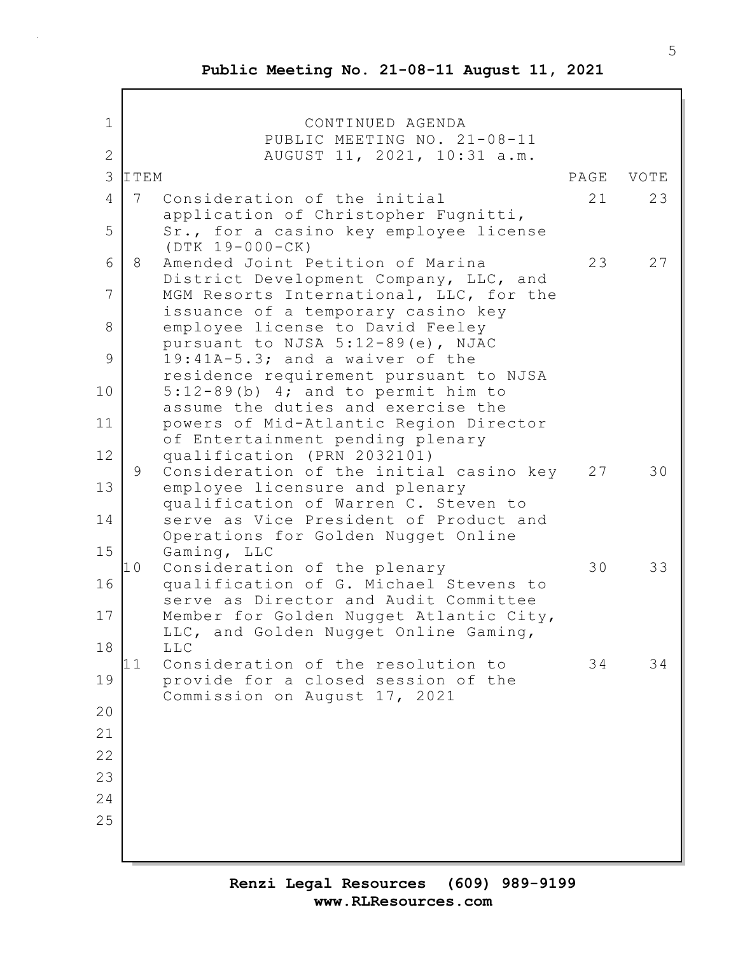$\overline{\Gamma}$ 

| 1            | CONTINUED AGENDA<br>PUBLIC MEETING NO. 21-08-11                                                                       |      |      |
|--------------|-----------------------------------------------------------------------------------------------------------------------|------|------|
| $\mathbf{2}$ | AUGUST 11, 2021, 10:31 a.m.                                                                                           |      |      |
| 3            | ITEM                                                                                                                  | PAGE | VOTE |
| 4            | 7<br>Consideration of the initial                                                                                     | 21   | 23   |
| 5            | application of Christopher Fugnitti,<br>Sr., for a casino key employee license<br>$(DTK 19-000-CK)$                   |      |      |
| 6            | Amended Joint Petition of Marina<br>8<br>District Development Company, LLC, and                                       | 23   | 27   |
| 7            | MGM Resorts International, LLC, for the<br>issuance of a temporary casino key                                         |      |      |
| 8            | employee license to David Feeley<br>pursuant to NJSA 5:12-89(e), NJAC                                                 |      |      |
| 9            | 19:41A-5.3; and a waiver of the<br>residence requirement pursuant to NJSA                                             |      |      |
| 10           | $5:12-89(b)$ 4; and to permit him to<br>assume the duties and exercise the                                            |      |      |
| 11<br>12     | powers of Mid-Atlantic Region Director<br>of Entertainment pending plenary<br>qualification (PRN 2032101)             |      |      |
| 13           | Consideration of the initial casino key<br>9<br>employee licensure and plenary                                        | 27   | 30   |
| 14           | qualification of Warren C. Steven to<br>serve as Vice President of Product and                                        |      |      |
| 15           | Operations for Golden Nugget Online<br>Gaming, LLC                                                                    |      |      |
| 16           | 10<br>Consideration of the plenary<br>qualification of G. Michael Stevens to<br>serve as Director and Audit Committee | 30   | 33   |
| 17           | Member for Golden Nugget Atlantic City,<br>LLC, and Golden Nugget Online Gaming,                                      |      |      |
| 18           | <b>LLC</b>                                                                                                            |      |      |
| 19           | 11<br>Consideration of the resolution to<br>provide for a closed session of the<br>Commission on August 17, 2021      | 34   | 34   |
| 20           |                                                                                                                       |      |      |
| 21           |                                                                                                                       |      |      |
| 22           |                                                                                                                       |      |      |
| 23           |                                                                                                                       |      |      |
| 24           |                                                                                                                       |      |      |
| 25           |                                                                                                                       |      |      |
|              |                                                                                                                       |      |      |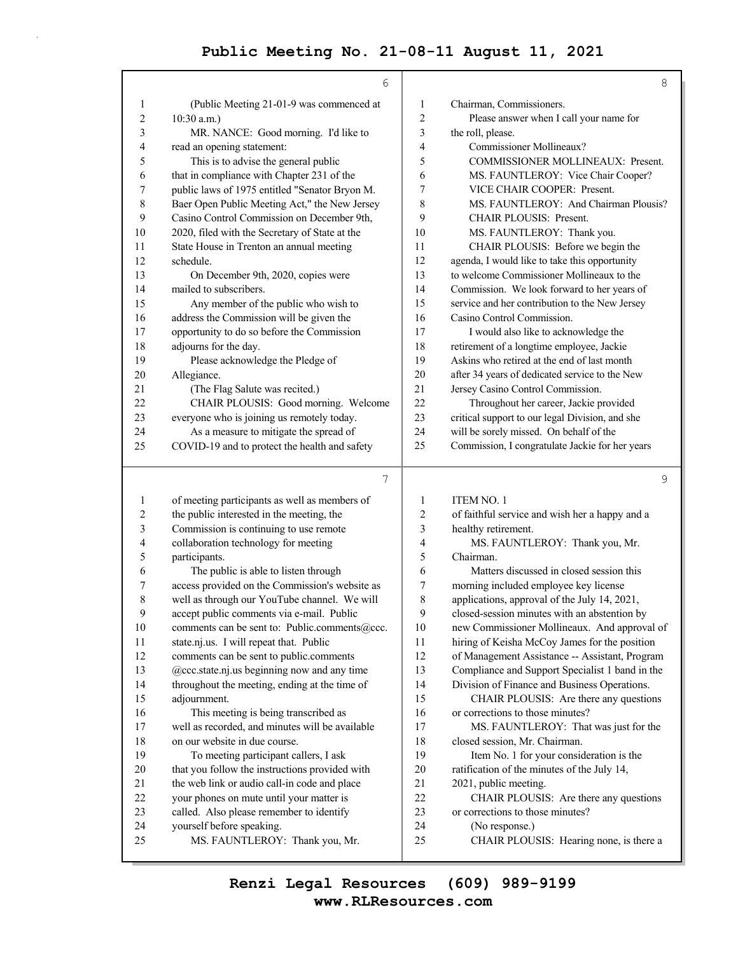|                | 6                                              |                | 8                                               |
|----------------|------------------------------------------------|----------------|-------------------------------------------------|
| 1              | (Public Meeting 21-01-9 was commenced at       | $\mathbf{1}$   | Chairman, Commissioners.                        |
| $\overline{2}$ | $10:30$ a.m.)                                  | 2              | Please answer when I call your name for         |
| 3              | MR. NANCE: Good morning. I'd like to           | 3              | the roll, please.                               |
| 4              | read an opening statement:                     | 4              | Commissioner Mollineaux?                        |
| 5              | This is to advise the general public           | 5              | COMMISSIONER MOLLINEAUX: Present.               |
| 6              | that in compliance with Chapter 231 of the     | 6              | MS. FAUNTLEROY: Vice Chair Cooper?              |
| 7              | public laws of 1975 entitled "Senator Bryon M. | 7              | VICE CHAIR COOPER: Present.                     |
| 8              | Baer Open Public Meeting Act," the New Jersey  | 8              | MS. FAUNTLEROY: And Chairman Plousis?           |
| 9              | Casino Control Commission on December 9th,     | 9              | <b>CHAIR PLOUSIS: Present.</b>                  |
| 10             | 2020, filed with the Secretary of State at the | 10             | MS. FAUNTLEROY: Thank you.                      |
| 11             | State House in Trenton an annual meeting       | 11             | CHAIR PLOUSIS: Before we begin the              |
| 12             | schedule.                                      | 12             | agenda, I would like to take this opportunity   |
| 13             | On December 9th, 2020, copies were             | 13             | to welcome Commissioner Mollineaux to the       |
| 14             | mailed to subscribers.                         | 14             | Commission. We look forward to her years of     |
| 15             | Any member of the public who wish to           | 15             | service and her contribution to the New Jersey  |
| 16             | address the Commission will be given the       | 16             | Casino Control Commission.                      |
| 17             | opportunity to do so before the Commission     | 17             | I would also like to acknowledge the            |
| 18             | adjourns for the day.                          | 18             | retirement of a longtime employee, Jackie       |
| 19             | Please acknowledge the Pledge of               | 19             | Askins who retired at the end of last month     |
| 20             | Allegiance.                                    | 20             | after 34 years of dedicated service to the New  |
| 21             | (The Flag Salute was recited.)                 | 21             | Jersey Casino Control Commission.               |
| 22             | CHAIR PLOUSIS: Good morning. Welcome           | 22             | Throughout her career, Jackie provided          |
| 23             | everyone who is joining us remotely today.     | 23             | critical support to our legal Division, and she |
| 24             | As a measure to mitigate the spread of         | 24             | will be sorely missed. On behalf of the         |
| 25             | COVID-19 and to protect the health and safety  | 25             | Commission, I congratulate Jackie for her years |
|                |                                                |                |                                                 |
|                | $\overline{7}$                                 |                | 9                                               |
| 1              | of meeting participants as well as members of  | 1              | <b>ITEM NO. 1</b>                               |
| $\overline{c}$ | the public interested in the meeting, the      | $\overline{c}$ | of faithful service and wish her a happy and a  |
| 3              | Commission is continuing to use remote         | 3              | healthy retirement.                             |
| 4              | collaboration technology for meeting           | 4              | MS. FAUNTLEROY: Thank you, Mr.                  |
| 5              | participants.                                  | 5              | Chairman.                                       |
| 6              | The public is able to listen through           | 6              | Matters discussed in closed session this        |
| 7              | access provided on the Commission's website as | 7              | morning included employee key license           |
| 8              | well as through our YouTube channel. We will   | 8              | applications, approval of the July 14, 2021,    |
| 9              | accept public comments via e-mail. Public      | 9              | closed-session minutes with an abstention by    |
| 10             | comments can be sent to: Public.comments@ccc.  | 10             | new Commissioner Mollineaux. And approval of    |
| 11             | state.nj.us. I will repeat that. Public        | 11             | hiring of Keisha McCoy James for the position   |
| 12             | comments can be sent to public.comments        | 12             | of Management Assistance -- Assistant, Program  |

13 @ccc.state.nj.us beginning now and any time 14 throughout the meeting, ending at the time of 15 adjournment. 16 This meeting is being transcribed as 17 well as recorded, and minutes will be available 18 on our website in due course. 19 To meeting participant callers, I ask 20 that you follow the instructions provided with 21 the web link or audio call-in code and place 22 your phones on mute until your matter is 13 Compliance and Support Specialist 1 band in the 14 Division of Finance and Business Operations. 15 CHAIR PLOUSIS: Are there any questions 16 or corrections to those minutes? 17 MS. FAUNTLEROY: That was just for the

## 23 called. Also please remember to identify 24 yourself before speaking.

## 25 MS. FAUNTLEROY: Thank you, Mr.

18 closed session, Mr. Chairman. 19 Item No. 1 for your consideration is the 20 ratification of the minutes of the July 14,

- 21 2021, public meeting.
- 22 CHAIR PLOUSIS: Are there any questions
- 23 or corrections to those minutes?
- 24 (No response.)
- 25 CHAIR PLOUSIS: Hearing none, is there a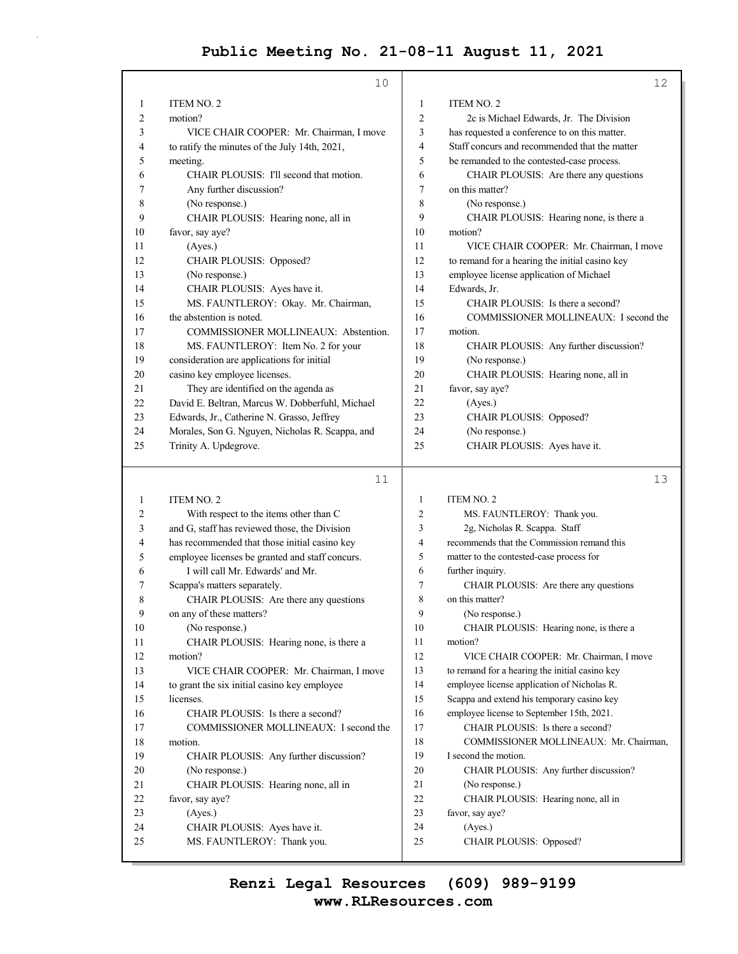|                           | 10                                              |                | 12                                             |
|---------------------------|-------------------------------------------------|----------------|------------------------------------------------|
| 1                         | <b>ITEM NO. 2</b>                               | 1              | ITEM NO. 2                                     |
| $\overline{2}$<br>motion? |                                                 | $\overline{2}$ | 2c is Michael Edwards, Jr. The Division        |
| 3                         | VICE CHAIR COOPER: Mr. Chairman, I move         | 3              | has requested a conference to on this matter.  |
| 4                         | to ratify the minutes of the July 14th, 2021,   | 4              | Staff concurs and recommended that the matter  |
| 5<br>meeting.             |                                                 | 5              | be remanded to the contested-case process.     |
| 6                         | CHAIR PLOUSIS: I'll second that motion.         | 6              | CHAIR PLOUSIS: Are there any questions         |
| 7                         | Any further discussion?                         | 7              | on this matter?                                |
| 8                         | (No response.)                                  | 8              | (No response.)                                 |
| 9                         | CHAIR PLOUSIS: Hearing none, all in             | 9              | CHAIR PLOUSIS: Hearing none, is there a        |
| 10                        | favor, say aye?                                 | 10             | motion?                                        |
| 11                        | (Ayes.)                                         | 11             | VICE CHAIR COOPER: Mr. Chairman, I move        |
| 12                        | CHAIR PLOUSIS: Opposed?                         | 12             | to remand for a hearing the initial casino key |
| 13                        | (No response.)                                  | 13             | employee license application of Michael        |
| 14                        | CHAIR PLOUSIS: Ayes have it.                    | 14             | Edwards, Jr.                                   |
| 15                        | MS. FAUNTLEROY: Okay. Mr. Chairman,             | 15             | CHAIR PLOUSIS: Is there a second?              |
| 16                        | the abstention is noted.                        | 16             | COMMISSIONER MOLLINEAUX: I second the          |
| 17                        | COMMISSIONER MOLLINEAUX: Abstention.            | 17             | motion.                                        |
| 18                        | MS. FAUNTLEROY: Item No. 2 for your             | 18             | CHAIR PLOUSIS: Any further discussion?         |
| 19                        | consideration are applications for initial      | 19             | (No response.)                                 |
| 20                        | casino key employee licenses.                   | 20             | CHAIR PLOUSIS: Hearing none, all in            |
| 21                        | They are identified on the agenda as            | 21             | favor, say aye?                                |
| 22                        | David E. Beltran, Marcus W. Dobberfuhl, Michael | 22             | (Ayes.)                                        |
| 23                        | Edwards, Jr., Catherine N. Grasso, Jeffrey      | 23             | CHAIR PLOUSIS: Opposed?                        |
| 24                        | Morales, Son G. Nguyen, Nicholas R. Scappa, and | 24             | (No response.)                                 |
| 25                        | Trinity A. Updegrove.                           | 25             | CHAIR PLOUSIS: Ayes have it.                   |
|                           | 11                                              |                | 13                                             |

| 1              | ITEM NO. 2                                      | 1              | ITEM NO. 2                                     |
|----------------|-------------------------------------------------|----------------|------------------------------------------------|
| 2              | With respect to the items other than C          | $\overline{c}$ | MS. FAUNTLEROY: Thank you.                     |
| 3              | and G, staff has reviewed those, the Division   | 3              | 2g, Nicholas R. Scappa. Staff                  |
| $\overline{4}$ | has recommended that those initial casino key   | 4              | recommends that the Commission remand this     |
| 5              | employee licenses be granted and staff concurs. | 5              | matter to the contested-case process for       |
| 6              | I will call Mr. Edwards' and Mr.                | 6              | further inquiry.                               |
| 7              | Scappa's matters separately.                    | 7              | CHAIR PLOUSIS: Are there any questions         |
| 8              | CHAIR PLOUSIS: Are there any questions          | 8              | on this matter?                                |
| 9              | on any of these matters?                        | 9              | (No response.)                                 |
| 10             | (No response.)                                  | 10             | CHAIR PLOUSIS: Hearing none, is there a        |
| 11             | CHAIR PLOUSIS: Hearing none, is there a         | 11             | motion?                                        |
| 12             | motion?                                         | 12             | VICE CHAIR COOPER: Mr. Chairman, I move        |
| 13             | VICE CHAIR COOPER: Mr. Chairman, I move         | 13             | to remand for a hearing the initial casino key |
| 14             | to grant the six initial casino key employee    | 14             | employee license application of Nicholas R.    |
| 15             | licenses.                                       | 15             | Scappa and extend his temporary casino key     |
| 16             | CHAIR PLOUSIS: Is there a second?               | 16             | employee license to September 15th, 2021.      |
| 17             | COMMISSIONER MOLLINEAUX: I second the           | 17             | CHAIR PLOUSIS: Is there a second?              |
| 18             | motion.                                         | 18             | COMMISSIONER MOLLINEAUX: Mr. Chairman,         |
| 19             | CHAIR PLOUSIS: Any further discussion?          | 19             | I second the motion.                           |
| 20             | (No response.)                                  | 20             | CHAIR PLOUSIS: Any further discussion?         |
| 21             | CHAIR PLOUSIS: Hearing none, all in             | 21             | (No response.)                                 |
| 22             | favor, say aye?                                 | 22             | CHAIR PLOUSIS: Hearing none, all in            |
| 23             | (Ayes.)                                         | 23             | favor, say aye?                                |
| 24             | CHAIR PLOUSIS: Ayes have it.                    | 24             | (Ayes.)                                        |
| 25             | MS. FAUNTLEROY: Thank you.                      | 25             | CHAIR PLOUSIS: Opposed?                        |
|                |                                                 |                |                                                |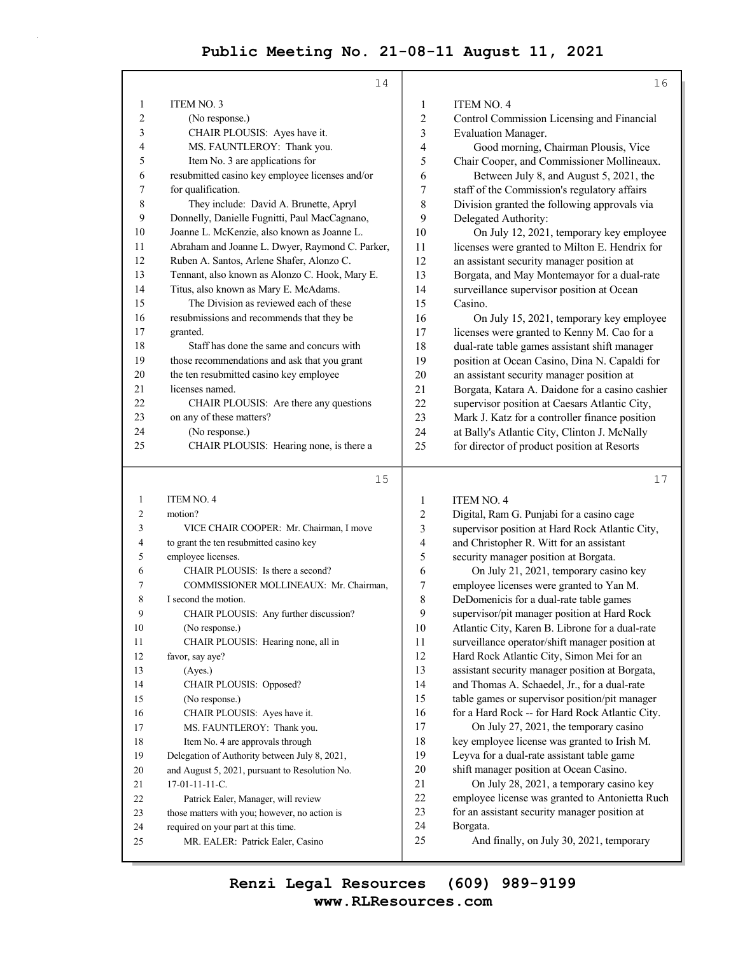|                         | 14                                              |                         | 16                                                                              |
|-------------------------|-------------------------------------------------|-------------------------|---------------------------------------------------------------------------------|
| 1                       | <b>ITEM NO. 3</b>                               | 1                       | ITEM NO. 4                                                                      |
| $\overline{\mathbf{c}}$ | (No response.)                                  | $\overline{\mathbf{c}}$ | Control Commission Licensing and Financial                                      |
| 3                       | CHAIR PLOUSIS: Ayes have it.                    | 3                       | <b>Evaluation Manager.</b>                                                      |
| 4                       | MS. FAUNTLEROY: Thank you.                      | 4                       | Good morning, Chairman Plousis, Vice                                            |
| 5                       | Item No. 3 are applications for                 | 5                       | Chair Cooper, and Commissioner Mollineaux.                                      |
| 6                       | resubmitted casino key employee licenses and/or | 6                       | Between July 8, and August 5, 2021, the                                         |
| 7                       | for qualification.                              | 7                       | staff of the Commission's regulatory affairs                                    |
| 8                       | They include: David A. Brunette, Apryl          | 8                       | Division granted the following approvals via                                    |
| 9                       | Donnelly, Danielle Fugnitti, Paul MacCagnano,   | 9                       | Delegated Authority:                                                            |
| 10                      | Joanne L. McKenzie, also known as Joanne L.     | 10                      | On July 12, 2021, temporary key employee                                        |
| 11                      | Abraham and Joanne L. Dwyer, Raymond C. Parker, | 11                      | licenses were granted to Milton E. Hendrix for                                  |
| 12                      | Ruben A. Santos, Arlene Shafer, Alonzo C.       | 12                      | an assistant security manager position at                                       |
| 13                      | Tennant, also known as Alonzo C. Hook, Mary E.  | 13                      | Borgata, and May Montemayor for a dual-rate                                     |
| 14                      | Titus, also known as Mary E. McAdams.           | 14                      | surveillance supervisor position at Ocean                                       |
| 15                      | The Division as reviewed each of these          | 15                      | Casino.                                                                         |
| 16                      | resubmissions and recommends that they be       | 16                      | On July 15, 2021, temporary key employee                                        |
| 17                      | granted.                                        | 17                      | licenses were granted to Kenny M. Cao for a                                     |
| 18                      | Staff has done the same and concurs with        | 18                      | dual-rate table games assistant shift manager                                   |
| 19                      | those recommendations and ask that you grant    | 19                      | position at Ocean Casino, Dina N. Capaldi for                                   |
| 20                      | the ten resubmitted casino key employee         | 20                      | an assistant security manager position at                                       |
| 21                      | licenses named.                                 | 21                      | Borgata, Katara A. Daidone for a casino cashier                                 |
| 22                      | CHAIR PLOUSIS: Are there any questions          | 22                      | supervisor position at Caesars Atlantic City,                                   |
| 23                      | on any of these matters?                        | 23                      | Mark J. Katz for a controller finance position                                  |
| 24                      | (No response.)                                  | 24                      | at Bally's Atlantic City, Clinton J. McNally                                    |
| 25                      | CHAIR PLOUSIS: Hearing none, is there a         | 25                      | for director of product position at Resorts                                     |
|                         | 15                                              |                         | 17                                                                              |
|                         |                                                 |                         |                                                                                 |
| 1                       | ITEM NO. 4                                      | 1                       | <b>ITEM NO. 4</b>                                                               |
| 2                       | motion?                                         | 2                       |                                                                                 |
| 3                       | VICE CHAIR COOPER: Mr. Chairman, I move         | 3                       | Digital, Ram G. Punjabi for a casino cage                                       |
| 4                       | to grant the ten resubmitted casino key         | 4                       | supervisor position at Hard Rock Atlantic City,                                 |
| 5                       | employee licenses.                              | 5                       | and Christopher R. Witt for an assistant                                        |
| 6                       | CHAIR PLOUSIS: Is there a second?               | 6                       | security manager position at Borgata.<br>On July 21, 2021, temporary casino key |
| 7                       | COMMISSIONER MOLLINEAUX: Mr. Chairman,          | 7                       | employee licenses were granted to Yan M.                                        |
| 8                       | I second the motion.                            | 8                       | DeDomenicis for a dual-rate table games                                         |
| 9                       | CHAIR PLOUSIS: Any further discussion?          | 9                       | supervisor/pit manager position at Hard Rock                                    |
| 10                      | (No response.)                                  | 10                      | Atlantic City, Karen B. Librone for a dual-rate                                 |
| 11                      | CHAIR PLOUSIS: Hearing none, all in             | 11                      | surveillance operator/shift manager position at                                 |
| 12                      | favor, say aye?                                 | 12                      | Hard Rock Atlantic City, Simon Mei for an                                       |
| 13                      | (Ayes.)                                         | 13                      | assistant security manager position at Borgata,                                 |
| 14                      | CHAIR PLOUSIS: Opposed?                         | 14                      | and Thomas A. Schaedel, Jr., for a dual-rate                                    |
| 15                      | (No response.)                                  | 15                      | table games or supervisor position/pit manager                                  |
| 16                      | CHAIR PLOUSIS: Ayes have it.                    | 16                      | for a Hard Rock -- for Hard Rock Atlantic City.                                 |
| 17                      | MS. FAUNTLEROY: Thank you.                      | 17                      | On July 27, 2021, the temporary casino                                          |
| $18\,$                  | Item No. 4 are approvals through                | 18                      | key employee license was granted to Irish M.                                    |
| 19                      | Delegation of Authority between July 8, 2021,   | 19                      | Leyva for a dual-rate assistant table game                                      |
| 20                      | and August 5, 2021, pursuant to Resolution No.  | 20                      | shift manager position at Ocean Casino.                                         |
| 21                      | 17-01-11-11-C.                                  | 21                      | On July 28, 2021, a temporary casino key                                        |
| $22\,$                  | Patrick Ealer, Manager, will review             | 22                      | employee license was granted to Antonietta Ruch                                 |
| 23                      | those matters with you; however, no action is   | 23                      | for an assistant security manager position at                                   |
| 24                      | required on your part at this time.             | 24<br>25                | Borgata.<br>And finally, on July 30, 2021, temporary                            |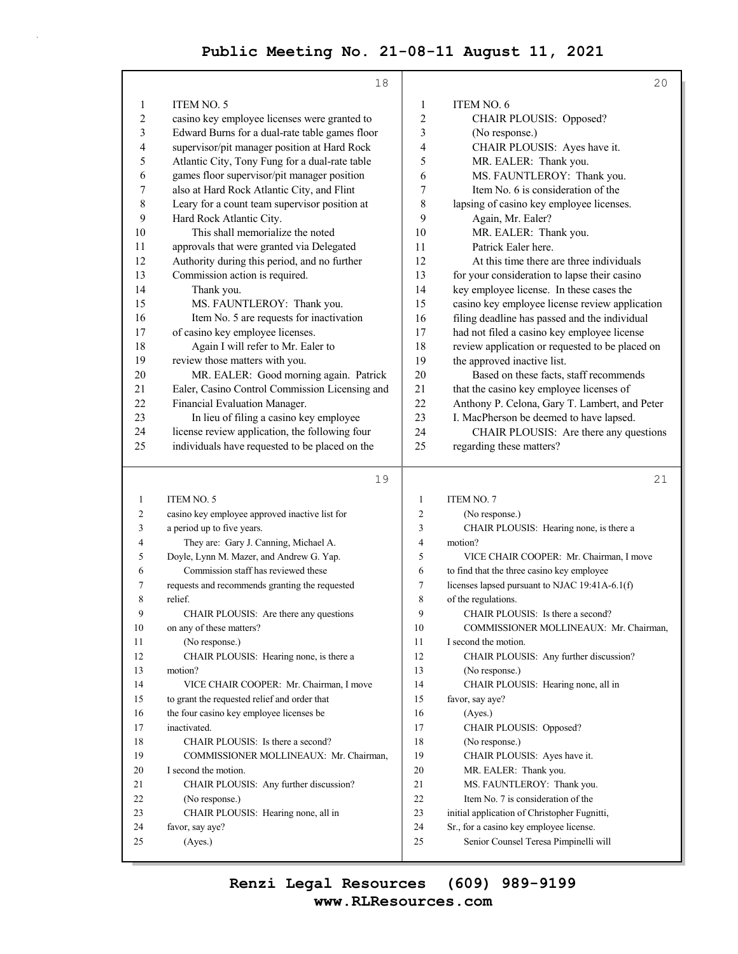|                | 18                                             |                | 20                                              |
|----------------|------------------------------------------------|----------------|-------------------------------------------------|
|                |                                                |                |                                                 |
| 1              | ITEM NO. 5                                     | 1              | <b>ITEM NO. 6</b>                               |
| 2              | casino key employee licenses were granted to   | 2              | CHAIR PLOUSIS: Opposed?                         |
| 3              | Edward Burns for a dual-rate table games floor | 3              | (No response.)                                  |
| 4              | supervisor/pit manager position at Hard Rock   | 4              | CHAIR PLOUSIS: Ayes have it.                    |
| 5              | Atlantic City, Tony Fung for a dual-rate table | 5              | MR. EALER: Thank you.                           |
| 6              | games floor supervisor/pit manager position    | 6              | MS. FAUNTLEROY: Thank you.                      |
| 7              | also at Hard Rock Atlantic City, and Flint     | 7              | Item No. 6 is consideration of the              |
| 8              | Leary for a count team supervisor position at  | 8              | lapsing of casino key employee licenses.        |
| 9              | Hard Rock Atlantic City.                       | 9              | Again, Mr. Ealer?                               |
| 10             | This shall memorialize the noted               | 10             | MR. EALER: Thank you.                           |
| 11             | approvals that were granted via Delegated      | 11             | Patrick Ealer here.                             |
| 12             | Authority during this period, and no further   | 12             | At this time there are three individuals        |
| 13             | Commission action is required.                 | 13             | for your consideration to lapse their casino    |
| 14             | Thank you.                                     | 14             | key employee license. In these cases the        |
| 15             | MS. FAUNTLEROY: Thank you.                     | 15             | casino key employee license review application  |
| 16             | Item No. 5 are requests for inactivation       | 16             | filing deadline has passed and the individual   |
| 17             | of casino key employee licenses.               | 17             | had not filed a casino key employee license     |
| 18             | Again I will refer to Mr. Ealer to             | 18             | review application or requested to be placed on |
| 19             | review those matters with you.                 | 19             | the approved inactive list.                     |
| 20             | MR. EALER: Good morning again. Patrick         | 20             | Based on these facts, staff recommends          |
| 21             | Ealer, Casino Control Commission Licensing and | 21             | that the casino key employee licenses of        |
| 22             | Financial Evaluation Manager.                  | 22             | Anthony P. Celona, Gary T. Lambert, and Peter   |
| 23             | In lieu of filing a casino key employee        | 23             | I. MacPherson be deemed to have lapsed.         |
| 24             | license review application, the following four | 24             | CHAIR PLOUSIS: Are there any questions          |
| 25             | individuals have requested to be placed on the | 25             | regarding these matters?                        |
|                |                                                |                |                                                 |
|                | 19                                             |                | 21                                              |
| 1              | ITEM NO. 5                                     | $\mathbf{1}$   | <b>ITEM NO. 7</b>                               |
| 2              | casino key employee approved inactive list for | $\overline{c}$ | (No response.)                                  |
| 3              | a period up to five years.                     | 3              | CHAIR PLOUSIS: Hearing none, is there a         |
| 4              | They are: Gary J. Canning, Michael A.          | 4              | motion?                                         |
| 5              | Doyle, Lynn M. Mazer, and Andrew G. Yap.       | 5              | VICE CHAIR COOPER: Mr. Chairman, I move         |
| 6              | Commission staff has reviewed these            | 6              | to find that the three casino key employee      |
| 7              | requests and recommends granting the requested | 7              | licenses lapsed pursuant to NJAC 19:41A-6.1(f)  |
| 8              | relief.                                        | 8              | of the regulations.                             |
| $\overline{9}$ | CHAIR PLOUSIS: Are there any questions         | 9              | CHAIR PLOUSIS: Is there a second?               |
| 10             | on any of these matters?                       | 10             | COMMISSIONER MOLLINEAUX: Mr. Chairman,          |
| 11             | (No response.)                                 | 11             | I second the motion.                            |
| 12             | CHAIR PLOUSIS: Hearing none, is there a        | 12             | CHAIR PLOUSIS: Any further discussion?          |
| 13             | motion?                                        | 13             | (No response.)                                  |
| 14             | VICE CHAIR COOPER: Mr. Chairman, I move        | 14             | CHAIR PLOUSIS: Hearing none, all in             |
| 15             | to grant the requested relief and order that   | 15             | favor, say aye?                                 |
| 16             | the four casino key employee licenses be       | 16             | (Ayes.)                                         |
| 17             | inactivated.                                   | 17             | CHAIR PLOUSIS: Opposed?                         |
| 18             | CHAIR PLOUSIS: Is there a second?              | 18             | (No response.)                                  |
| 19             | COMMISSIONER MOLLINEAUX: Mr. Chairman,         | 19             | CHAIR PLOUSIS: Ayes have it.                    |

20 I second the motion. 21 CHAIR PLOUSIS: Any further discussion? 22 (No response.) 23 CHAIR PLOUSIS: Hearing none, all in 24 favor, say aye? 25 (Ayes.) 20 MR. EALER: Thank you. 21 MS. FAUNTLEROY: Thank you. 22 Item No. 7 is consideration of the 23 initial application of Christopher Fugnitti, 24 Sr., for a casino key employee license. 25 Senior Counsel Teresa Pimpinelli will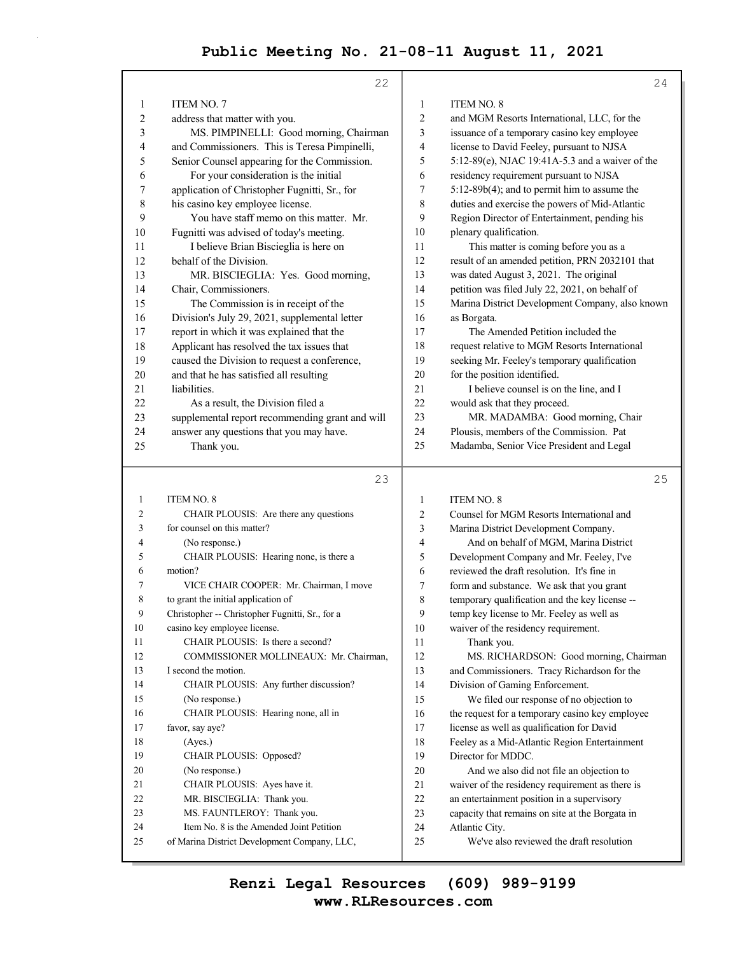|           | 22                                              |    | 24                                                                                          |
|-----------|-------------------------------------------------|----|---------------------------------------------------------------------------------------------|
| 1         | <b>ITEM NO. 7</b>                               | 1  | ITEM NO. 8                                                                                  |
| 2         | address that matter with you.                   | 2  | and MGM Resorts International, LLC, for the                                                 |
| 3         | MS. PIMPINELLI: Good morning, Chairman          | 3  | issuance of a temporary casino key employee                                                 |
| 4         | and Commissioners. This is Teresa Pimpinelli,   | 4  | license to David Feeley, pursuant to NJSA                                                   |
| 5         | Senior Counsel appearing for the Commission.    | 5  | 5:12-89(e), NJAC 19:41A-5.3 and a waiver of the                                             |
| 6         | For your consideration is the initial           | 6  | residency requirement pursuant to NJSA                                                      |
| 7         | application of Christopher Fugnitti, Sr., for   | 7  | 5:12-89b(4); and to permit him to assume the                                                |
| $\,$ $\,$ | his casino key employee license.                | 8  | duties and exercise the powers of Mid-Atlantic                                              |
| 9         | You have staff memo on this matter. Mr.         | 9  | Region Director of Entertainment, pending his                                               |
| 10        | Fugnitti was advised of today's meeting.        | 10 | plenary qualification.                                                                      |
| 11        | I believe Brian Biscieglia is here on           | 11 | This matter is coming before you as a                                                       |
| 12        | behalf of the Division.                         | 12 | result of an amended petition, PRN 2032101 that                                             |
| 13        | MR. BISCIEGLIA: Yes. Good morning,              | 13 | was dated August 3, 2021. The original                                                      |
| 14        | Chair, Commissioners.                           | 14 | petition was filed July 22, 2021, on behalf of                                              |
| 15        | The Commission is in receipt of the             | 15 | Marina District Development Company, also known                                             |
| 16        | Division's July 29, 2021, supplemental letter   | 16 | as Borgata.                                                                                 |
| 17        | report in which it was explained that the       | 17 | The Amended Petition included the                                                           |
| 18        | Applicant has resolved the tax issues that      | 18 | request relative to MGM Resorts International                                               |
| 19        | caused the Division to request a conference,    | 19 | seeking Mr. Feeley's temporary qualification                                                |
| 20        | and that he has satisfied all resulting         | 20 | for the position identified.                                                                |
| 21        | liabilities.                                    | 21 | I believe counsel is on the line, and I                                                     |
| 22        | As a result, the Division filed a               | 22 | would ask that they proceed.                                                                |
| 23        | supplemental report recommending grant and will | 23 | MR. MADAMBA: Good morning, Chair                                                            |
| 24        | answer any questions that you may have.         | 24 | Plousis, members of the Commission. Pat                                                     |
| 25        | Thank you.                                      | 25 | Madamba, Senior Vice President and Legal                                                    |
|           |                                                 |    |                                                                                             |
|           |                                                 |    |                                                                                             |
|           | 23                                              |    | 25                                                                                          |
| 1         | ITEM NO. 8                                      | 1  | ITEM NO. 8                                                                                  |
| 2         | CHAIR PLOUSIS: Are there any questions          | 2  | Counsel for MGM Resorts International and                                                   |
| 3         | for counsel on this matter?                     | 3  | Marina District Development Company.                                                        |
| 4         | (No response.)                                  | 4  | And on behalf of MGM, Marina District                                                       |
| 5         | CHAIR PLOUSIS: Hearing none, is there a         | 5  | Development Company and Mr. Feeley, I've                                                    |
| 6         | motion?                                         | 6  | reviewed the draft resolution. It's fine in                                                 |
| 7         | VICE CHAIR COOPER: Mr. Chairman, I move         | 7  | form and substance. We ask that you grant                                                   |
| 8         | to grant the initial application of             | 8  | temporary qualification and the key license --                                              |
| 9         | Christopher -- Christopher Fugnitti, Sr., for a | 9  | temp key license to Mr. Feeley as well as                                                   |
| 10        | casino key employee license.                    | 10 | waiver of the residency requirement.                                                        |
| 11        | CHAIR PLOUSIS: Is there a second?               | 11 | Thank you.                                                                                  |
| 12        | COMMISSIONER MOLLINEAUX: Mr. Chairman,          | 12 | MS. RICHARDSON: Good morning, Chairman                                                      |
| 13        | I second the motion.                            | 13 | and Commissioners. Tracy Richardson for the                                                 |
| 14        | CHAIR PLOUSIS: Any further discussion?          | 14 | Division of Gaming Enforcement.                                                             |
| 15        | (No response.)                                  | 15 | We filed our response of no objection to                                                    |
| 16        | CHAIR PLOUSIS: Hearing none, all in             | 16 |                                                                                             |
| 17        | favor, say aye?                                 | 17 | the request for a temporary casino key employee                                             |
| 18        | (Ayes.)                                         | 18 | license as well as qualification for David<br>Feeley as a Mid-Atlantic Region Entertainment |
| 19        | CHAIR PLOUSIS: Opposed?                         | 19 | Director for MDDC.                                                                          |
| 20        | (No response.)                                  | 20 | And we also did not file an objection to                                                    |
| 21        | CHAIR PLOUSIS: Ayes have it.                    | 21 | waiver of the residency requirement as there is                                             |
| 22        | MR. BISCIEGLIA: Thank you.                      | 22 | an entertainment position in a supervisory                                                  |
| 23        | MS. FAUNTLEROY: Thank you.                      | 23 | capacity that remains on site at the Borgata in                                             |
| 24        | Item No. 8 is the Amended Joint Petition        | 24 | Atlantic City.                                                                              |
| 25        | of Marina District Development Company, LLC,    | 25 | We've also reviewed the draft resolution                                                    |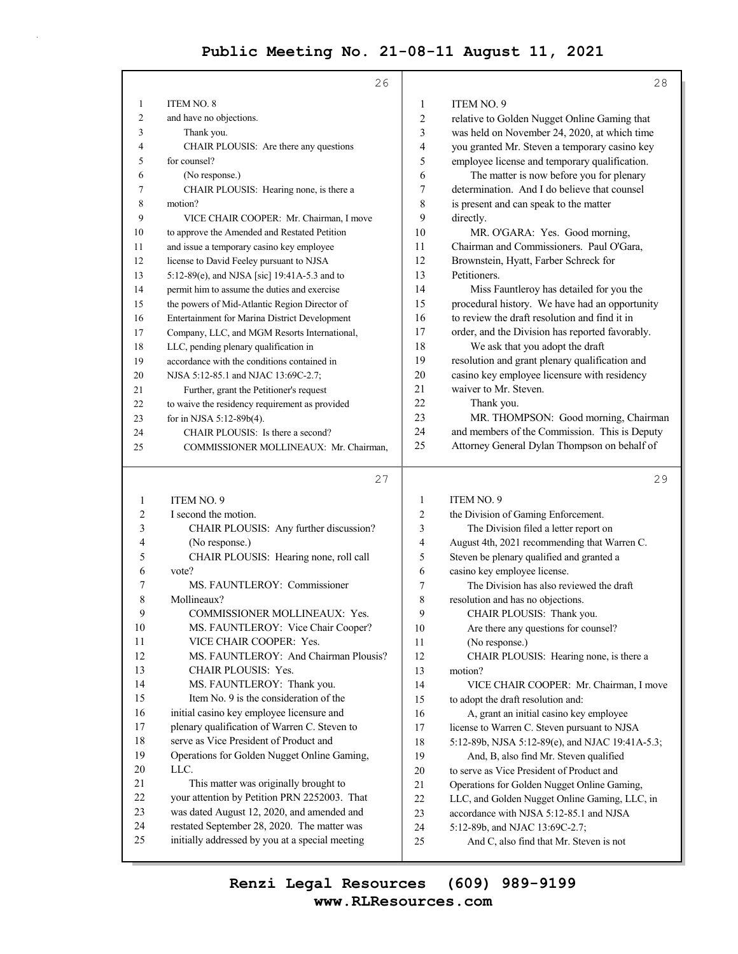|                         | 26                                              |                  | 28                                              |
|-------------------------|-------------------------------------------------|------------------|-------------------------------------------------|
| 1                       | <b>ITEM NO. 8</b>                               | 1                | <b>ITEM NO. 9</b>                               |
| $\overline{c}$          | and have no objections.                         | $\sqrt{2}$       | relative to Golden Nugget Online Gaming that    |
| 3                       | Thank you.                                      | 3                | was held on November 24, 2020, at which time    |
| 4                       | CHAIR PLOUSIS: Are there any questions          | 4                | you granted Mr. Steven a temporary casino key   |
| 5                       | for counsel?                                    | 5                | employee license and temporary qualification.   |
| 6                       | (No response.)                                  | 6                | The matter is now before you for plenary        |
| 7                       | CHAIR PLOUSIS: Hearing none, is there a         | $\boldsymbol{7}$ | determination. And I do believe that counsel    |
| 8                       | motion?                                         | 8                | is present and can speak to the matter          |
| 9                       | VICE CHAIR COOPER: Mr. Chairman, I move         | 9                | directly.                                       |
| 10                      | to approve the Amended and Restated Petition    | 10               | MR. O'GARA: Yes. Good morning,                  |
| 11                      | and issue a temporary casino key employee       | 11               | Chairman and Commissioners. Paul O'Gara,        |
| 12                      | license to David Feeley pursuant to NJSA        | 12               | Brownstein, Hyatt, Farber Schreck for           |
| 13                      | 5:12-89(e), and NJSA [sic] 19:41A-5.3 and to    | 13               | Petitioners.                                    |
| 14                      | permit him to assume the duties and exercise    | 14               | Miss Fauntleroy has detailed for you the        |
| 15                      | the powers of Mid-Atlantic Region Director of   | 15               | procedural history. We have had an opportunity  |
| 16                      | Entertainment for Marina District Development   | 16               | to review the draft resolution and find it in   |
| 17                      | Company, LLC, and MGM Resorts International,    | 17               | order, and the Division has reported favorably. |
| 18                      | LLC, pending plenary qualification in           | 18               | We ask that you adopt the draft                 |
| 19                      | accordance with the conditions contained in     | 19               | resolution and grant plenary qualification and  |
| 20                      | NJSA 5:12-85.1 and NJAC 13:69C-2.7;             | 20               | casino key employee licensure with residency    |
| 21                      | Further, grant the Petitioner's request         | 21               | waiver to Mr. Steven.                           |
| 22                      | to waive the residency requirement as provided  | 22               | Thank you.                                      |
| 23                      | for in NJSA 5:12-89b(4).                        | 23               | MR. THOMPSON: Good morning, Chairman            |
| 24                      | CHAIR PLOUSIS: Is there a second?               | 24               | and members of the Commission. This is Deputy   |
| 25                      | COMMISSIONER MOLLINEAUX: Mr. Chairman,          | 25               | Attorney General Dylan Thompson on behalf of    |
|                         |                                                 |                  |                                                 |
|                         | 27                                              |                  | 29                                              |
| 1                       | ITEM NO. 9                                      | 1                | ITEM NO. 9                                      |
| $\overline{\mathbf{c}}$ | I second the motion.                            | $\overline{2}$   | the Division of Gaming Enforcement.             |
| 3                       | CHAIR PLOUSIS: Any further discussion?          | 3                | The Division filed a letter report on           |
| 4                       | (No response.)                                  | 4                | August 4th, 2021 recommending that Warren C.    |
| 5                       | CHAIR PLOUSIS: Hearing none, roll call          | 5                | Steven be plenary qualified and granted a       |
| 6                       | vote?                                           | 6                | casino key employee license.                    |
| 7                       | MS. FAUNTLEROY: Commissioner                    | 7                | The Division has also reviewed the draft        |
| 8                       | Mollineaux?                                     | 8                | resolution and has no objections.               |
| 9                       | COMMISSIONER MOLLINEAUX: Yes.                   | 9                | CHAIR PLOUSIS: Thank you.                       |
| 10                      | MS. FAUNTLEROY: Vice Chair Cooper?              | 10               | Are there any questions for counsel?            |
| 11                      | VICE CHAIR COOPER: Yes.                         | 11               | (No response.)                                  |
| 12                      | MS. FAUNTLEROY: And Chairman Plousis?           | 12               | CHAIR PLOUSIS: Hearing none, is there a         |
| 13                      | CHAIR PLOUSIS: Yes.                             | 13               | motion?                                         |
| 14                      | MS. FAUNTLEROY: Thank you.                      | 14               | VICE CHAIR COOPER: Mr. Chairman, I move         |
| 15                      | Item No. 9 is the consideration of the          | 15               | to adopt the draft resolution and:              |
| 16                      | initial casino key employee licensure and       | 16               | A, grant an initial casino key employee         |
| 17                      | plenary qualification of Warren C. Steven to    | 17               | license to Warren C. Steven pursuant to NJSA    |
| 18                      | serve as Vice President of Product and          | 18               | 5:12-89b, NJSA 5:12-89(e), and NJAC 19:41A-5.3; |
| 19                      | Operations for Golden Nugget Online Gaming,     | 19               | And, B, also find Mr. Steven qualified          |
| 20                      | LLC.                                            | $20\,$           | to serve as Vice President of Product and       |
| 21                      | This matter was originally brought to           | 21               | Operations for Golden Nugget Online Gaming,     |
| 22                      | your attention by Petition PRN 2252003. That    | 22               | LLC, and Golden Nugget Online Gaming, LLC, in   |
| 23                      | was dated August 12, 2020, and amended and      | 23               | accordance with NJSA 5:12-85.1 and NJSA         |
| 24                      |                                                 |                  |                                                 |
|                         | restated September 28, 2020. The matter was     | 24               | 5:12-89b, and NJAC 13:69C-2.7;                  |
| 25                      | initially addressed by you at a special meeting | 25               | And C, also find that Mr. Steven is not         |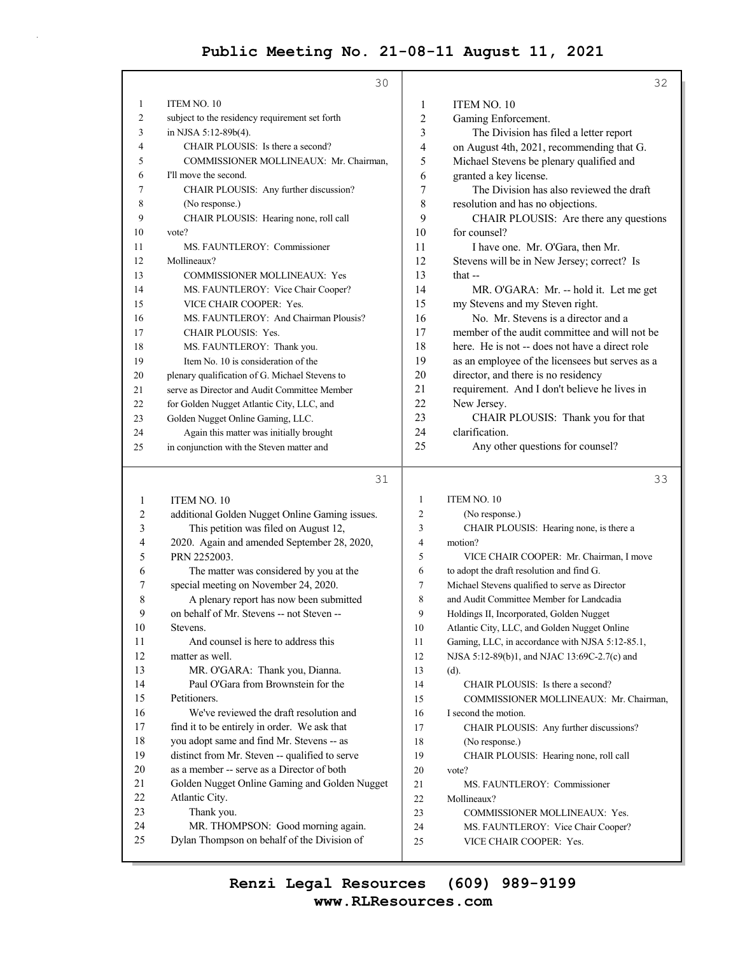|    | 30                                             |                | 32                                              |
|----|------------------------------------------------|----------------|-------------------------------------------------|
| 1  | ITEM NO. 10                                    | 1              | <b>ITEM NO. 10</b>                              |
| 2  | subject to the residency requirement set forth | 2              | Gaming Enforcement.                             |
| 3  | in NJSA 5:12-89b(4).                           | 3              | The Division has filed a letter report          |
| 4  | CHAIR PLOUSIS: Is there a second?              | $\overline{4}$ | on August 4th, 2021, recommending that G.       |
| 5  | COMMISSIONER MOLLINEAUX: Mr. Chairman,         | 5              | Michael Stevens be plenary qualified and        |
| 6  | I'll move the second.                          | 6              | granted a key license.                          |
| 7  | CHAIR PLOUSIS: Any further discussion?         | 7              | The Division has also reviewed the draft        |
| 8  | (No response.)                                 | 8              | resolution and has no objections.               |
| 9  | CHAIR PLOUSIS: Hearing none, roll call         | 9              | CHAIR PLOUSIS: Are there any questions          |
| 10 | vote?                                          | 10             | for counsel?                                    |
| 11 | MS. FAUNTLEROY: Commissioner                   | 11             | I have one. Mr. O'Gara, then Mr.                |
| 12 | Mollineaux?                                    | 12             | Stevens will be in New Jersey; correct? Is      |
| 13 | <b>COMMISSIONER MOLLINEAUX: Yes</b>            | 13             | that $-$                                        |
| 14 | MS. FAUNTLEROY: Vice Chair Cooper?             | 14             | MR. O'GARA: Mr. -- hold it. Let me get          |
| 15 | VICE CHAIR COOPER: Yes.                        | 15             | my Stevens and my Steven right.                 |
| 16 | MS. FAUNTLEROY: And Chairman Plousis?          | 16             | No. Mr. Stevens is a director and a             |
| 17 | <b>CHAIR PLOUSIS: Yes.</b>                     | 17             | member of the audit committee and will not be   |
| 18 | MS. FAUNTLEROY: Thank you.                     | 18             | here. He is not -- does not have a direct role  |
| 19 | Item No. 10 is consideration of the            | 19             | as an employee of the licensees but serves as a |
| 20 | plenary qualification of G. Michael Stevens to | 20             | director, and there is no residency             |
| 21 | serve as Director and Audit Committee Member   | 21             | requirement. And I don't believe he lives in    |
| 22 | for Golden Nugget Atlantic City, LLC, and      | 22             | New Jersey.                                     |
| 23 | Golden Nugget Online Gaming, LLC.              | 23             | CHAIR PLOUSIS: Thank you for that               |
| 24 | Again this matter was initially brought        | 24             | clarification.                                  |
| 25 | in conjunction with the Steven matter and      | 25             | Any other questions for counsel?                |
|    |                                                |                |                                                 |

# 31

1 ITEM NO. 10 2 additional Golden Nugget Online Gaming issues. 3 This petition was filed on August 12, 4 2020. Again and amended September 28, 2020, 5 PRN 2252003. 6 The matter was considered by you at the 7 special meeting on November 24, 2020. 8 A plenary report has now been submitted 9 on behalf of Mr. Stevens -- not Steven -- 10 Stevens. 11 And counsel is here to address this 12 matter as well. 13 MR. O'GARA: Thank you, Dianna. 14 Paul O'Gara from Brownstein for the 15 Petitioners. 16 We've reviewed the draft resolution and 17 find it to be entirely in order. We ask that 18 you adopt same and find Mr. Stevens -- as 19 distinct from Mr. Steven -- qualified to serve 20 as a member -- serve as a Director of both 21 Golden Nugget Online Gaming and Golden Nugget 22 Atlantic City. 23 Thank you. 24 MR. THOMPSON: Good morning again. 25 Dylan Thompson on behalf of the Division of 33 1 ITEM NO. 10 2 (No response.) 3 CHAIR PLOUSIS: Hearing none, is there a 4 motion? 5 VICE CHAIR COOPER: Mr. Chairman, I move 6 to adopt the draft resolution and find G. 7 Michael Stevens qualified to serve as Director 8 and Audit Committee Member for Landcadia 9 Holdings II, Incorporated, Golden Nugget 10 Atlantic City, LLC, and Golden Nugget Online 11 Gaming, LLC, in accordance with NJSA 5:12-85.1, 12 NJSA 5:12-89(b)1, and NJAC 13:69C-2.7(c) and 13 (d). 14 CHAIR PLOUSIS: Is there a second? 15 COMMISSIONER MOLLINEAUX: Mr. Chairman, 16 I second the motion. 17 CHAIR PLOUSIS: Any further discussions? 18 (No response.) 19 CHAIR PLOUSIS: Hearing none, roll call 20 vote? 21 MS. FAUNTLEROY: Commissioner 22 Mollineaux? 23 COMMISSIONER MOLLINEAUX: Yes. 24 MS. FAUNTLEROY: Vice Chair Cooper? 25 VICE CHAIR COOPER: Yes.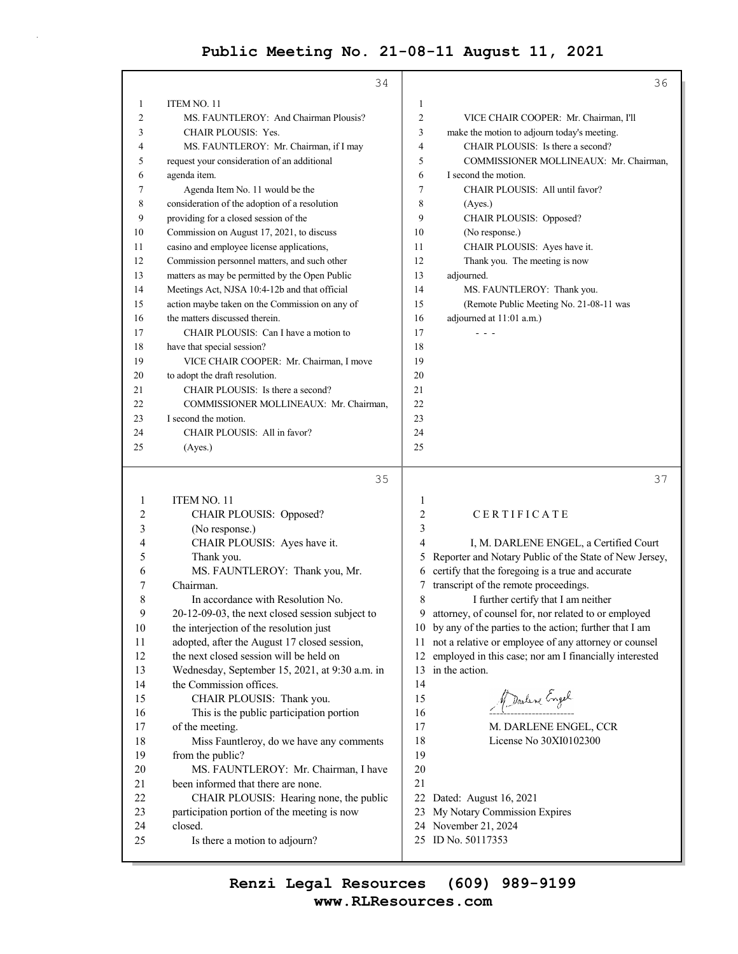|                | 34                                              |                | 36                                                     |
|----------------|-------------------------------------------------|----------------|--------------------------------------------------------|
| 1              | ITEM NO. 11                                     | $\mathbf{1}$   |                                                        |
| $\overline{c}$ | MS. FAUNTLEROY: And Chairman Plousis?           | $\overline{2}$ | VICE CHAIR COOPER: Mr. Chairman, I'll                  |
| 3              | CHAIR PLOUSIS: Yes.                             | 3              | make the motion to adjourn today's meeting.            |
| 4              | MS. FAUNTLEROY: Mr. Chairman, if I may          | 4              | CHAIR PLOUSIS: Is there a second?                      |
| 5              | request your consideration of an additional     | 5              | COMMISSIONER MOLLINEAUX: Mr. Chairman,                 |
| 6              | agenda item.                                    | 6              | I second the motion.                                   |
| 7              | Agenda Item No. 11 would be the                 | 7              | CHAIR PLOUSIS: All until favor?                        |
| 8              | consideration of the adoption of a resolution   | 8              | (Ayes.)                                                |
| 9              | providing for a closed session of the           | 9              | CHAIR PLOUSIS: Opposed?                                |
| 10             | Commission on August 17, 2021, to discuss       | 10             | (No response.)                                         |
| 11             | casino and employee license applications,       | 11             | CHAIR PLOUSIS: Ayes have it.                           |
| 12             | Commission personnel matters, and such other    | 12             | Thank you. The meeting is now                          |
| 13             | matters as may be permitted by the Open Public  | 13             | adjourned.                                             |
| 14             | Meetings Act, NJSA 10:4-12b and that official   | 14             | MS. FAUNTLEROY: Thank you.                             |
| 15             | action maybe taken on the Commission on any of  | 15             | (Remote Public Meeting No. 21-08-11 was                |
| 16             | the matters discussed therein.                  | 16             | adjourned at 11:01 a.m.)                               |
| 17             | CHAIR PLOUSIS: Can I have a motion to           | 17             | $  -$                                                  |
| 18             | have that special session?                      | 18             |                                                        |
| 19             | VICE CHAIR COOPER: Mr. Chairman, I move         | 19             |                                                        |
| 20             | to adopt the draft resolution.                  | 20             |                                                        |
| 21             | CHAIR PLOUSIS: Is there a second?               | 21             |                                                        |
| 22             | COMMISSIONER MOLLINEAUX: Mr. Chairman,          | 22             |                                                        |
| 23             | I second the motion.                            | 23             |                                                        |
| 24             | CHAIR PLOUSIS: All in favor?                    | 24             |                                                        |
| 25             | (Ayes.)                                         | 25             |                                                        |
|                |                                                 |                |                                                        |
|                | 35                                              |                | 37                                                     |
| 1              | ITEM NO. 11                                     | 1              |                                                        |
| $\overline{2}$ | CHAIR PLOUSIS: Opposed?                         | $\overline{c}$ | CERTIFICATE                                            |
| 3              | (No response.)                                  | 3              |                                                        |
| $\overline{4}$ | CHAIR PLOUSIS: Ayes have it.                    | $\overline{4}$ | I, M. DARLENE ENGEL, a Certified Court                 |
| 5              | Thank you.                                      | 5              | Reporter and Notary Public of the State of New Jersey, |
| 6              | MS. FAUNTLEROY: Thank you, Mr.                  | 6              | certify that the foregoing is a true and accurate      |
| 7              | Chairman.                                       | 7              | transcript of the remote proceedings.                  |
| 8              | In accordance with Resolution No.               | 8              | I further certify that I am neither                    |
| 9              | 20-12-09-03, the next closed session subject to | 9              | attorney, of counsel for, nor related to or employed   |

- 10 the interjection of the resolution just
- 11 adopted, after the August 17 closed session,
- 12 the next closed session will be held on
- 13 Wednesday, September 15, 2021, at 9:30 a.m. in 14 the Commission offices.
- 15 CHAIR PLOUSIS: Thank you. 16 This is the public participation portion
- 17 of the meeting. 18 Miss Fauntleroy, do we have any comments 19 from the public?
- 20 MS. FAUNTLEROY: Mr. Chairman, I have 21 been informed that there are none. 22 CHAIR PLOUSIS: Hearing none, the public 23 participation portion of the meeting is now
- 24 closed. 25 Is there a motion to adjourn?
- 9 attorney, of counsel for, nor related to or employed 10 by any of the parties to the action; further that I am 11 not a relative or employee of any attorney or counsel 12 employed in this case; nor am I financially interested 13 in the action. Darline Engel  $16 \frac{2.1}{10}$ 17 M. DARLENE ENGEL, CCR
- 18 License No 30XI0102300
- 20 21
- 22 Dated: August 16, 2021
- 23 My Notary Commission Expires
- 24 November 21, 2024
- 25 ID No. 50117353

# **www.RLResources.com Renzi Legal Resources (609) 989-9199**

14 15

19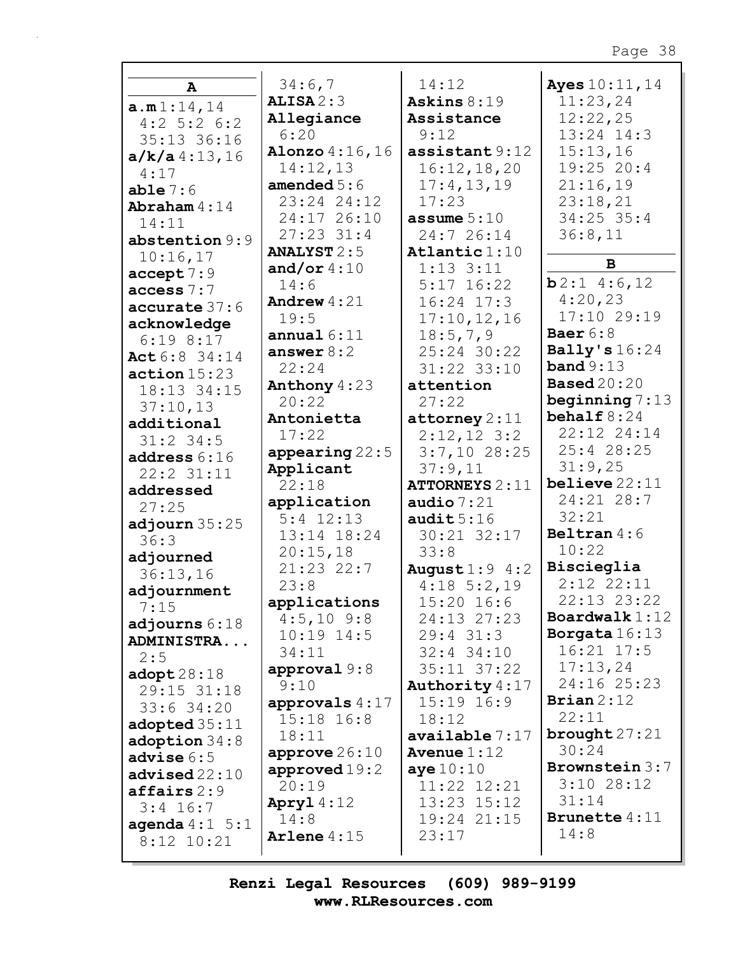|                          | 34:6,7                       | 14:12                       | Ayes 10:11, 14       |
|--------------------------|------------------------------|-----------------------------|----------------------|
| A                        | ALISA2:3                     | Askins $8:19$               | 11:23,24             |
| a.m1:14,14               | Allegiance                   | Assistance                  | 12:22,25             |
| $4:2$ 5:2 6:2            | 6:20                         | 9:12                        | 13:24 14:3           |
| 35:13 36:16              | Alonzo 4:16,16               | $\texttt{assertant} 9:12$   | 15:13,16             |
| $a/k/a$ 4:13,16          | 14:12,13                     | 16:12,18,20                 | $19:25$ 20:4         |
| 4:17                     | amended $5:6$                | 17:4, 13, 19                | 21:16,19             |
| able $7:6$               | 23:24 24:12                  | 17:23                       | 23:18,21             |
| Abraham $4:14$           | 24:17 26:10                  | assume $5:10$               | $34:25$ 35:4         |
| 14:11                    | $27:23$ 31:4                 | 24:7 26:14                  | 36:8,11              |
| abstention $9:9$         | <b>ANALYST 2:5</b>           | Atlantic $1:10$             |                      |
| 10:16,17                 | and/or $4:10$                | $1:13$ $3:11$               | B                    |
| accept 7:9               | 14:6                         | $5:17$ 16:22                | $b2:1$ 4:6,12        |
| access 7:7               | Andrew $4:21$                | $16:24$ 17:3                | 4:20,23              |
| accurate 37:6            | 19:5                         | 17:10, 12, 16               | 17:10 29:19          |
| acknowledge              | annual $6:11$                | 18:5,7,9                    | Baer $6:8$           |
| $6:19$ $8:17$            | answer $8:2$                 | 25:24 30:22                 | Bally's $16:24$      |
| Act 6:8 34:14            | 22:24                        |                             | band $9:13$          |
| action 15:23             | Anthony $4:23$               | 31:22 33:10<br>attention    | <b>Based</b> 20:20   |
| 18:13 34:15              | 20:22                        | 27:22                       | beginning $7:13$     |
| 37:10,13                 |                              |                             | behalf $8:24$        |
| additional               | Antonietta                   | $\texttt{attorney} 2:11$    | 22:12 24:14          |
| $31:2$ 34:5              | 17:22                        | $2:12,12$ 3:2               | 25:4 28:25           |
| address $6:16$           | appearing $22:5$             | $3:7,10$ 28:25              | 31:9,25              |
| 22:2 31:11               | Applicant                    | 37:9,11                     | believe $22:11$      |
| addressed                | 22:18                        | <b>ATTORNEYS 2:11</b>       | 24:21 28:7           |
| 27:25                    | application                  | audio $7:21$                | 32:21                |
| adjourn $35:25$          | $5:4$ 12:13                  | audit $5:16$                | Beltran $4:6$        |
| 36:3                     | 13:14 18:24                  | 30:21 32:17                 | 10:22                |
| adjourned                | 20:15,18                     | 33:8                        | Biscieglia           |
| 36:13,16                 | $21:23$ 22:7                 | August $1:9$ 4:2            | $2:12$ $22:11$       |
| adjournment              | 23:8                         | $4:18 \t5:2,19$             | 22:13 23:22          |
| 7:15                     | applications<br>$4:5,10$ 9:8 | $15:20$ 16:6<br>24:13 27:23 | Boardwalk $1:12$     |
| adjourns $6:18$          |                              |                             | Borgata $16:13$      |
| ADMINISTRA               | $10:19$ $14:5$               | $29:4$ 31:3                 | $16:21$ $17:5$       |
| 2:5                      | 34:11                        | $32:4$ 34:10                | 17:13,24             |
| $\texttt{adopt28:18}$    | approval $9:8$               | $35:11$ $37:22$             | 24:16 25:23          |
| 29:15 31:18              | 9:10                         | Authority 4:17              | Brian $2:12$         |
| $33:6$ $34:20$           | approvals $4:17$             | $15:19$ $16:9$              | 22:11                |
| adopted 35:11            | $15:18$ $16:8$               | 18:12                       | brought $27:21$      |
| $\texttt{adoption} 34:8$ | 18:11                        | available 7:17              | 30:24                |
| advise $6:5$             | approve $26:10$              | Avenue $1:12$               | Brownstein 3:7       |
| advised22:10             | approved $19:2$              | aye $10:10$                 | $3:10$ 28:12         |
| $\texttt{affairs} 2:9$   | 20:19                        | 11:22 12:21                 | 31:14                |
| $3:4$ 16:7               | Apryl $4:12$                 | 13:23 15:12                 | <b>Brunette</b> 4:11 |
| agenda $4:1 \quad 5:1$   | 14:8                         | 19:24 21:15                 | 14:8                 |
| $8:12$ 10:21             | Arlene $4:15$                | 23:17                       |                      |
|                          |                              |                             |                      |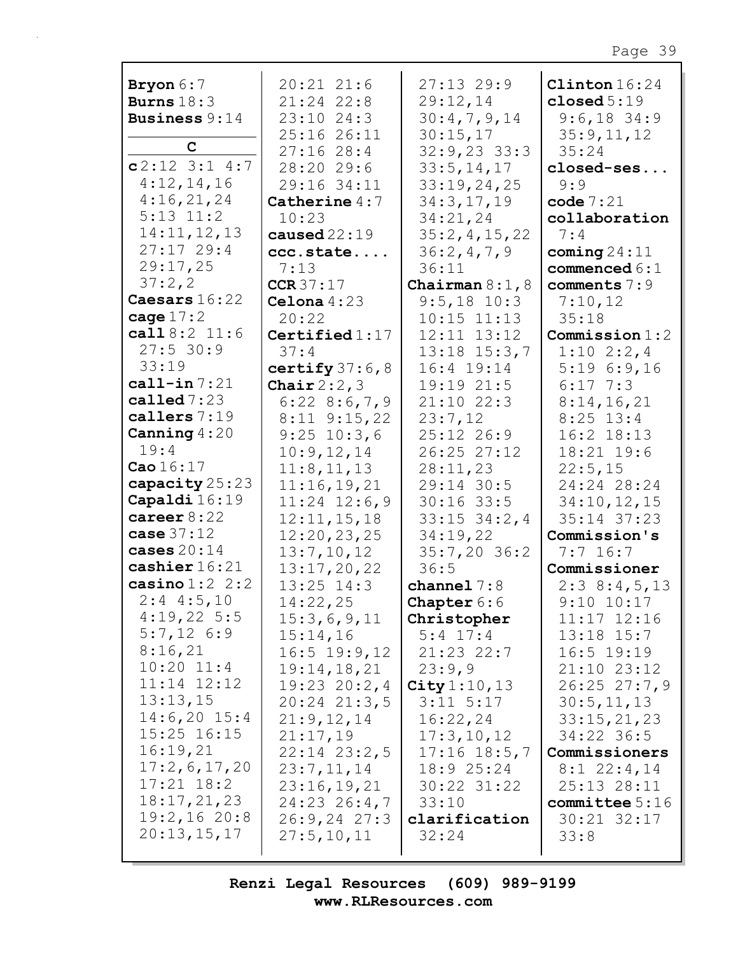| Bryon $6:7$                                                        | $20:21$ $21:6$                                                        | $27:13$ 29:9                                           | Clinton $16:24$                                                    |
|--------------------------------------------------------------------|-----------------------------------------------------------------------|--------------------------------------------------------|--------------------------------------------------------------------|
| Burns $18:3$                                                       | 21:24 22:8                                                            | 29:12,14                                               | closed $5:19$                                                      |
| <b>Business 9:14</b>                                               | 23:10 24:3                                                            | 30:4,7,9,14                                            | $9:6,18$ 34:9                                                      |
| $\mathbf C$                                                        | 25:16 26:11                                                           | 30:15,17                                               | 35:9,11,12                                                         |
| $c2:12$ 3:1 4:7                                                    | 27:1628:4                                                             | $32:9,23$ 33:3                                         | 35:24                                                              |
| 4:12,14,16                                                         | 28:20 29:6                                                            | 33:5, 14, 17                                           | closed-ses                                                         |
| 4:16,21,24                                                         | 29:16 34:11                                                           | 33:19,24,25                                            | 9:9                                                                |
| $5:13$ $11:2$                                                      | Catherine $4:7$                                                       | 34:3,17,19                                             | code $7:21$                                                        |
| 14:11,12,13<br>27:1729:4<br>29:17,25                               | 10:23<br>caused $22:19$<br>ccc.state<br>7:13                          | 34:21,24<br>35:2,4,15,22<br>36:2,4,7,9<br>36:11        | collaboration<br>7:4<br>coming $24:11$<br>commenced $6:1$          |
| 37:2,2                                                             | CCR37:17                                                              | Chairman $8:1, 8$                                      | comments 7:9                                                       |
| Caesars 16:22                                                      | Celona $4:23$                                                         | $9:5,18$ 10:3                                          | 7:10,12                                                            |
| cage $17:2$                                                        | 20:22                                                                 | $10:15$ $11:13$                                        | 35:18                                                              |
| call $8:2$ 11:6                                                    | Certified $1:17$                                                      | 12:11 13:12                                            | Commission 1:2                                                     |
| $27:5$ 30:9<br>33:19<br>call-in $7:21$<br>called $7:23$            | 37:4<br>certify $37:6,8$<br>Chair $2:2,3$                             | $13:18$ $15:3,7$<br>16:4 19:14<br>19:19 21:5           | $1:10$ $2:2,4$<br>5:196:9,16<br>$6:17$ 7:3                         |
| callers 7:19<br>Canning $4:20$<br>19:4                             | $6:22$ $8:6,7,9$<br>$8:11$ $9:15$ , 22<br>$9:25$ 10:3,6<br>10:9,12,14 | $21:10$ $22:3$<br>23:7,12<br>25:12 26:9<br>26:25 27:12 | 8:14,16,21<br>$8:25$ 13:4<br>$16:2$ $18:13$<br>18:21 19:6          |
| Cao $16:17$                                                        | 11:8, 11, 13                                                          | 28:11,23                                               | 22:5,15                                                            |
| capacity 25:23                                                     | 11:16,19,21                                                           | 29:14 30:5                                             | 24:24 28:24                                                        |
| Capaldi 16:19                                                      | $11:24$ $12:6,9$                                                      | $30:16$ 33:5                                           | 34:10,12,15                                                        |
| career $8:22$                                                      | 12:11, 15, 18                                                         | $33:15$ $34:2$ , 4                                     | 35:14 37:23                                                        |
| case $37:12$<br>cases $20:14$<br>cashier 16:21<br>casino $1:2$ 2:2 | 12:20,23,25<br>13:7,10,12<br>13:17,20,22                              | 34:19,22<br>$35:7,20$ 36:2<br>36:5<br>channel $7:8$    | Commission's<br>$7:7$ 16:7<br>Commissioner                         |
| $2:4$ 4:5,10<br>4:19,225:5<br>$5:7,12$ 6:9                         | $13:25$ $14:3$<br>14:22,25<br>15:3,6,9,11<br>15:14,16                 | <b>Chapter</b> $6:6$<br>Christopher<br>$5:4$ 17:4      | 2:38:4,5,13<br>$9:10$ $10:17$<br>$11:17$ $12:16$<br>$13:18$ $15:7$ |
| 8:16,21                                                            | $16:5$ 19:9, 12                                                       | $21:23$ 22:7                                           | $16:5$ 19:19                                                       |
| $10:20$ $11:4$                                                     | 19:14,18,21                                                           | 23:9,9                                                 | 21:10 23:12                                                        |
| $11:14$ $12:12$                                                    | $19:23$ $20:2,4$                                                      | City 1:10, 13                                          | 26:2527:7,9                                                        |
| 13:13,15                                                           | $20:24$ $21:3,5$                                                      | $3:11$ $5:17$                                          | 30:5, 11, 13                                                       |
| $14:6,20$ 15:4                                                     | 21:9,12,14                                                            | 16:22,24                                               | 33:15,21,23                                                        |
| 15:25 16:15                                                        | 21:17,19                                                              | 17:3,10,12                                             | 34:22 36:5                                                         |
| 16:19,21                                                           | $22:14$ $23:2,5$                                                      | $17:16$ $18:5,7$                                       | Commissioners                                                      |
| 17:2,6,17,20                                                       | 23:7,11,14                                                            | $18:9$ 25:24                                           | $8:1$ 22:4,14                                                      |
| $17:21$ $18:2$                                                     | 23:16,19,21                                                           | 30:22 31:22                                            | 25:13 28:11                                                        |
| 18:17,21,23                                                        | $24:23$ $26:4,7$                                                      | 33:10                                                  | committee $5:16$                                                   |
| 19:2,1620:8                                                        | $26:9, 24$ 27:3                                                       | clarification                                          | $30:21$ $32:17$                                                    |
| 20:13,15,17                                                        | 27:5, 10, 11                                                          | 32:24                                                  | 33:8                                                               |
|                                                                    |                                                                       |                                                        |                                                                    |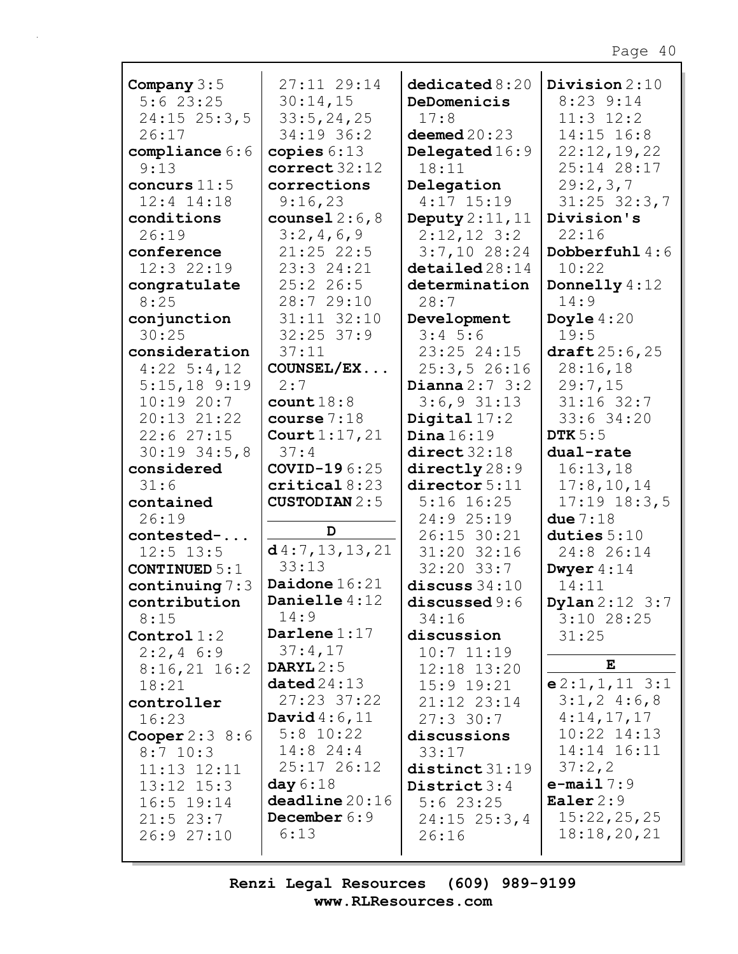| Company $3:5$                         | 27:11 29:14               | dedicated 8:20               | Division 2:10             |
|---------------------------------------|---------------------------|------------------------------|---------------------------|
| 5:623:25                              | 30:14,15                  | DeDomenicis                  | $8:23$ $9:14$             |
| $24:15$ $25:3,5$                      | 33:5, 24, 25              | 17:8                         | $11:3$ $12:2$             |
| 26:17                                 | 34:19 36:2                | deemed $20:23$               | 14:15 16:8                |
| compliance 6:6                        | copies $6:13$             | Delegated 16:9               | 22:12,19,22               |
| 9:13                                  | correct 32:12             | 18:11                        | 25:14 28:17               |
| concurs $11:5$                        | corrections               | Delegation                   | 29:2,3,7                  |
| $12:4$ $14:18$                        | 9:16,23                   | $4:17$ 15:19                 | $31:25$ $32:3,7$          |
| conditions                            | counsel $2:6,8$           | Deputy $2:11,11$             | Division's                |
| 26:19                                 | 3:2,4,6,9                 | $2:12,12$ 3:2                | 22:16                     |
| conference                            | $21:25$ 22:5              | $3:7,10$ 28:24               | Dobberfuhl 4:6            |
| 12:3 22:19                            | 23:3 24:21                | $\texttt{detailed} \, 28:14$ | 10:22                     |
| congratulate                          | 25:226:5                  | determination                | Donnelly 4:12             |
| 8:25                                  | 28:7 29:10                | 28:7                         | 14:9                      |
| conjunction                           | $31:11$ $32:10$           | Development                  | Doyle $4:20$              |
| 30:25                                 | $32:25$ 37:9              | $3:4$ 5:6                    | 19:5<br>draff25:6,25      |
| consideration                         | 37:11<br>COUNSEL/EX       | 23:25 24:15<br>25:3, 526:16  | 28:16,18                  |
| $4:22 \quad 5:4,12$<br>$5:15,18$ 9:19 | 2:7                       | Dianna $2:7$ 3:2             | 29:7,15                   |
| 10:1920:7                             | count18:8                 | $3:6,9$ $31:13$              | $31:16$ 32:7              |
| 20:13 21:22                           | course $7:18$             | Digital $17:2$               | 33:6 34:20                |
| 22:627:15                             | Court $1:17,21$           | Dina $16:19$                 | DTK $5:5$                 |
| $30:19$ $34:5,8$                      | 37:4                      | direct32:18                  | dual-rate                 |
| considered                            | COVID-196:25              | $\text{directly} 28:9$       | 16:13,18                  |
|                                       |                           |                              |                           |
|                                       |                           |                              |                           |
| 31:6                                  | critical 8:23             | director 5:11                | 17:8, 10, 14              |
| contained                             | <b>CUSTODIAN 2:5</b>      | $5:16$ $16:25$               | $17:19$ $18:3,5$          |
| 26:19                                 | D                         | 24:9 25:19                   | due $7:18$                |
| contested-                            |                           | 26:15 30:21                  | duties $5:10$             |
| $12:5$ $13:5$                         | d4:7, 13, 13, 21<br>33:13 | 31:20 32:16                  | 24:8 26:14                |
| CONTINUED $5:1$                       | Daidone $16:21$           | $32:20$ $33:7$               | Dwyer $4:14$              |
| continuing $7:3$                      | Danielle 4:12             | discuss $34:10$              | 14:11                     |
| contribution                          | 14:9                      | discussed 9:6<br>34:16       | <b>Dylan</b> $2:12 \ 3:7$ |
| 8:15<br>Control $1:2$                 | Darlene $1:17$            | discussion                   | $3:10$ 28:25<br>31:25     |
| $2:2,4$ 6:9                           | 37:4,17                   | $10:7$ $11:19$               |                           |
| $8:16,21$ 16:2                        | DARYL $2:5$               | 12:18 13:20                  | E                         |
| 18:21                                 | dataed24:13               | $15:9$ $19:21$               | $e2:1,1,11$ 3:1           |
| controller                            | 27:23 37:22               | 21:12 23:14                  | $3:1,2$ 4:6,8             |
| 16:23                                 | David $4:6,11$            | $27:3$ 30:7                  | 4:14,17,17                |
| Cooper $2:3$ 8:6                      | $5:8$ 10:22               | discussions                  | $10:22$ $14:13$           |
| $8:7$ 10:3                            | $14:8$ 24:4               | 33:17                        | 14:14 16:11               |
| $11:13$ $12:11$                       | 25:17 26:12               | distinct31:19                | 37:2,2                    |
| $13:12$ $15:3$                        | day $6:18$                | District $3:4$               | $e$ -mail $7:9$           |
| $16:5$ 19:14                          | deadline 20:16            | 5:623:25                     | Ealer $2:9$               |
| $21:5$ 23:7                           | December 6:9              | $24:15$ $25:3,4$             | 15:22,25,25               |
| 26:9 27:10                            | 6:13                      | 26:16                        | 18:18,20,21               |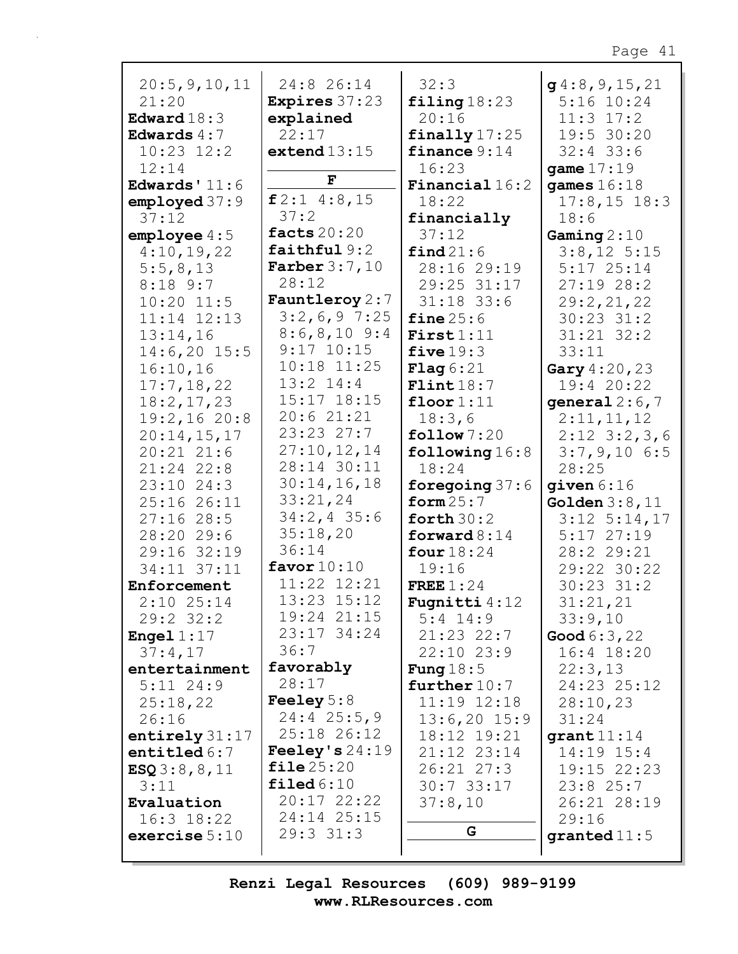| 20:5, 9, 10, 11     | 24:8 26:14           | 32:3                    | g4:8,9,15,21         |
|---------------------|----------------------|-------------------------|----------------------|
| 21:20               | <b>Expires</b> 37:23 | $\texttt{filling}18:23$ | $5:16$ $10:24$       |
| Edward $18:3$       | explained            | 20:16                   | $11:3$ $17:2$        |
| Edwards $4:7$       | 22:17                | finally $17:25$         | 19:5 30:20           |
| $10:23$ $12:2$      | extend $13:15$       | finance $9:14$          | $32:4$ 33:6          |
| 12:14               |                      | 16:23                   | game $17:19$         |
| Edwards' $11:6$     | F                    | <b>Financial</b> $16:2$ | games $16:18$        |
| emploved 37:9       | $f2:1$ 4:8,15        | 18:22                   | $17:8, 15$ 18:3      |
| 37:12               | 37:2                 | financially             | 18:6                 |
| emplope 4:5         | facts $20:20$        | 37:12                   | Gaming $2:10$        |
| 4:10,19,22          | faithful9:2          | find 21:6               | $3:8,12$ 5:15        |
| 5:5,8,13            | Farber $3:7,10$      | 28:16 29:19             | $5:17$ 25:14         |
| $8:18$ 9:7          | 28:12                | 29:25 31:17             | 27:1928:2            |
| $10:20$ $11:5$      | Fauntleroy $2:7$     | $31:18$ 33:6            | 29:2,21,22           |
| $11:14$ $12:13$     | $3:2,6,9$ 7:25       | fine $25:6$             | $30:23$ $31:2$       |
| 13:14,16            | $8:6,8,10$ 9:4       | First1:11               | $31:21$ $32:2$       |
| $14:6,20$ 15:5      | $9:17$ 10:15         | five $19:3$             | 33:11                |
| 16:10,16            | $10:18$ $11:25$      | $\text{Flag} 6:21$      | Gary $4:20,23$       |
| 17:7,18,22          | $13:2$ $14:4$        | Flint18:7               | 19:4 20:22           |
| 18:2, 17, 23        | 15:17 18:15          | floor $1:11$            | qeneral $2:6,7$      |
| 19:2,1620:8         | 20:621:21            | 18:3,6                  | 2:11,11,12           |
| 20:14,15,17         | 23:23 27:7           | follow 7:20             | $2:12$ $3:2,3,6$     |
| $20:21$ $21:6$      | 27:10, 12, 14        | following $16:8$        | $3:7,9,10$ 6:5       |
| 21:24 22:8          | 28:14 30:11          | 18:24                   | 28:25                |
| $23:10$ $24:3$      | 30:14,16,18          | foregoing $37:6$        | given $6:16$         |
| 25:16 26:11         | 33:21,24             | form $25:7$             | Golden $3:8,11$      |
| 27:1628:5           | $34:2, 4$ 35:6       | forth $30:2$            | $3:12$ $5:14,17$     |
| 28:20 29:6          | 35:18,20             | forward $8:14$          | $5:17$ 27:19         |
| 29:16 32:19         | 36:14                | four $18:24$            | 28:2 29:21           |
| 34:11 37:11         | favor $10:10$        | 19:16                   | 29:22 30:22          |
| Enforcement         | 11:22 12:21          | FREE $1:24$             | $30:23$ $31:2$       |
| $2:10$ $25:14$      | 13:23 15:12          | <b>Fugnitti</b> $4:12$  | 31:21,21             |
| $29:2$ 32:2         | 19:24 21:15          | $5:4$ 14:9              | 33:9,10              |
| <b>Engel</b> $1:17$ | 23:17 34:24          | $21:23$ $22:7$          | <b>Good</b> $6:3,22$ |
| 37:4,17             | 36:7                 | $22:10$ $23:9$          | 16:4 18:20           |
| entertainment       | favorably            | Fung $18:5$             | 22:3,13              |
| $5:11$ 24:9         | 28:17                | further $10:7$          | 24:23 25:12          |
| 25:18,22            | Feeley $5:8$         | $11:19$ $12:18$         | 28:10,23             |
| 26:16               | $24:4$ 25:5,9        | $13:6,20$ 15:9          | 31:24                |
| entirely $31:17$    | 25:18 26:12          | 18:12 19:21             | $qrant11:14$         |
| entitled $6:7$      | Feeley's $24:19$     | 21:12 23:14             | $14:19$ $15:4$       |
| ESQ3:8, 8, 11       | file25:20            | $26:21$ $27:3$          | 19:15 22:23          |
| 3:11                | $\texttt{filed6:10}$ | $30:7$ 33:17            | 23:825:7             |
| Evaluation          | $20:17$ $22:22$      | 37:8,10                 | 26:21 28:19          |
| $16:3$ $18:22$      | 24:14 25:15          |                         | 29:16                |
| exercise $5:10$     | $29:3$ $31:3$        | G                       | granted $11:5$       |
|                     |                      |                         |                      |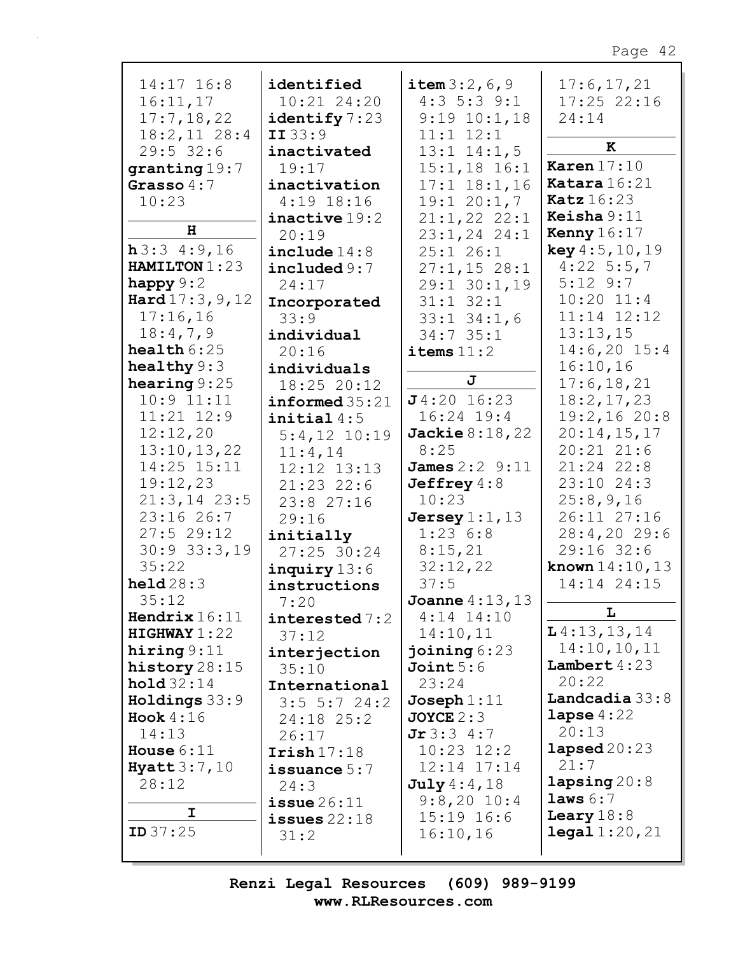| $14:17$ $16:8$<br>16:11,17 | identified<br>10:21 24:20      | item 3:2, 6, 9<br>$4:3$ 5:3 9:1 | 17:6, 17, 21<br>$17:25$ 22:16 |
|----------------------------|--------------------------------|---------------------------------|-------------------------------|
| 17:7,18,22                 | identify $7:23$                | $9:19$ $10:1$ , 18              | 24:14                         |
| $18:2,11$ 28:4             | II33:9                         | $11:1$ $12:1$                   | ĸ                             |
| $29:5$ 32:6                | inactivated                    | $13:1$ $14:1,5$                 | Karen $17:10$                 |
| granting 19:7              | 19:17                          | $15:1,18$ $16:1$                | Katara 16:21                  |
| Grasso $4:7$<br>10:23      | inactivation<br>$4:19$ 18:16   | $17:1$ $18:1,16$<br>19:120:1,7  | <b>Katz</b> 16:23             |
|                            | inactive 19:2                  | $21:1,22$ $22:1$                | Keisha $9:11$                 |
| н                          | 20:19                          | 23:1,24 24:1                    | Kenny $16:17$                 |
| h3:34:9,16                 | include $14:8$                 | 25:126:1                        | key 4:5, 10, 19               |
| HAMILTON 1:23              | include 9:7                    | $27:1,15$ 28:1                  | $4:22$ 5:5,7                  |
| happy $9:2$                | 24:17                          | 29:1 30:1,19                    | $5:12$ $9:7$                  |
| Hard $17:3, 9, 12$         | Incorporated                   | $31:1$ $32:1$                   | $10:20$ $11:4$                |
| 17:16,16                   | 33:9                           | $33:1$ $34:1$ , 6               | 11:14 12:12                   |
| 18:4,7,9                   | individual                     | 34:735:1                        | 13:13,15                      |
| health $6:25$              | 20:16                          | items $11:2$                    | $14:6,20$ 15:4                |
| healthy $9:3$              | individuals                    |                                 | 16:10,16                      |
| hearing $9:25$             | 18:25 20:12                    | J                               | 17:6, 18, 21                  |
| $10:9$ $11:11$             | informed35:21                  | $J4:20$ 16:23                   | 18:2, 17, 23                  |
| $11:21$ $12:9$             | initial4:5                     | $16:24$ 19:4                    | 19:2,1620:8                   |
| 12:12,20                   | $5:4,12$ 10:19                 | Jackie $8:18,22$                | 20:14,15,17                   |
| 13:10, 13, 22              | 11:4,14                        | 8:25                            | $20:21$ $21:6$                |
| 14:25 15:11                | 12:12 13:13                    | <b>James</b> $2:2 \ 9:11$       | 21:24 22:8                    |
| 19:12,23                   | $21:23$ 22:6                   | Jeffrey $4:8$                   | 23:10 24:3                    |
| $21:3, 14$ 23:5            | 23:8 27:16                     | 10:23                           | 25:8,9,16                     |
| 23:16 26:7<br>$27:5$ 29:12 | 29:16                          | Jersey $1:1$ , $13$<br>1:236:8  | 26:11 27:16                   |
| $30:9$ $33:3,19$           | initially                      | 8:15,21                         | 28:4,2029:6<br>29:16 32:6     |
| 35:22                      | 27:25 30:24                    | 32:12,22                        | <b>known</b> $14:10, 13$      |
| $\text{held} 28:3$         | $inquiry$ 13:6<br>instructions | 37:5                            | 14:14 24:15                   |
| 35:12                      | 7:20                           | Joanne 4:13, 13                 |                               |
| Hendrix $16:11$            | interested 7:2                 | $4:14$ $14:10$                  | $\mathbf L$                   |
| HIGHWAY1:22                | 37:12                          | 14:10,11                        | $L$ 4:13,13,14                |
| hiring $9:11$              | interjection                   | joining $6:23$                  | 14:10, 10, 11                 |
| history $28:15$            | 35:10                          | Joint 5:6                       | Lambert $4:23$                |
| hold 32:14                 | International                  | 23:24                           | 20:22                         |
| Holdings 33:9              | $3:5 \t5:7 \t24:2$             | $J$ oseph $1:11$                | Landcadia $33:8$              |
| Hook $4:16$                | $24:18$ $25:2$                 | $JOYCE$ 2:3                     | lapse $4:22$                  |
| 14:13                      | 26:17                          | Jr3:34:7                        | 20:13                         |
| House $6:11$               | $\texttt{Irish17:18}$          | $10:23$ $12:2$                  | $\texttt{lapsed20:23}$        |
| Hyatt $3:7,10$             | issuance $5:7$                 | $12:14$ $17:14$                 | 21:7                          |
| 28:12                      | 24:3                           | July 4:4,18                     | lapsing20:8                   |
|                            | $i$ ssue $26:11$               | $9:8,20$ 10:4                   | laws 6:7                      |
| I                          | issues $22:18$                 | $15:19$ $16:6$                  | Leary $18:8$                  |
| <b>ID</b> $37:25$          | 31:2                           | 16:10,16                        | $\texttt{legal } 1:20,21$     |
|                            |                                |                                 |                               |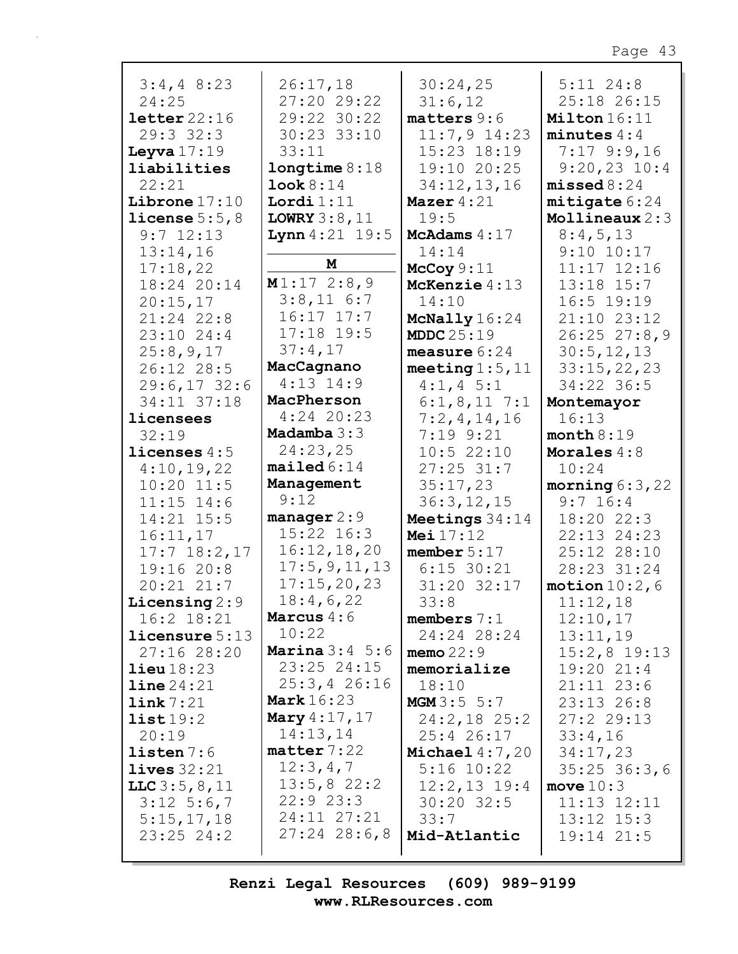| $3:4,4$ 8:23            | 26:17,18                   | 30:24,25                     | $5:11$ $24:8$               |
|-------------------------|----------------------------|------------------------------|-----------------------------|
| 24:25                   | 27:20 29:22                | 31:6,12                      | 25:18 26:15                 |
| letter22:16             | 29:22 30:22                | $matters 9:6$                | Milton 16:11                |
| 29:3 32:3               | 30:23 33:10                | $11:7,9$ 14:23               | minutes $4:4$               |
| Leyva $17:19$           | 33:11                      | 15:23 18:19                  | $7:17$ 9:9,16               |
| liabilities             | longtime 8:18              | 19:10 20:25                  | $9:20,23$ 10:4              |
| 22:21                   | Look 8:14                  | 34:12,13,16                  | missed 8:24                 |
| Librone $17:10$         | Lordi $1:11$               | Mazer $4:21$                 | mitigate 6:24               |
| license $5:5$ , $8$     | LOWRY $3:8,11$             | 19:5                         | Mollineaux $2:3$            |
| $9:7$ 12:13             | <b>Lynn</b> $4:21$ 19:5    | McAdams $4:17$               | 8:4,5,13                    |
| 13:14,16                |                            | 14:14                        | $9:10$ $10:17$              |
| 17:18,22                | M                          | McCoy $9:11$                 | $11:17$ $12:16$             |
| 18:24 20:14             | M1:172:8,9                 | McKenzie 4:13                | $13:18$ $15:7$              |
| 20:15,17                | $3:8,11$ 6:7               | 14:10                        | $16:5$ 19:19                |
| $21:24$ 22:8            | $16:17$ $17:7$             | McNally 16:24                | 21:10 23:12                 |
| 23:10 24:4              | $17:18$ 19:5               | MDDC $25:19$                 | $26:25$ $27:8,9$            |
| 25:8,9,17               | 37:4,17                    | measure $6:24$               | 30:5, 12, 13                |
| 26:12 28:5              | MacCagnano<br>$4:13$ 14:9  | meeting $1:5$ , $11$         | 33:15,22,23                 |
| 29:6,1732:6             |                            | $4:1, 4 \ 5:1$               | 34:22 36:5                  |
| 34:11 37:18             | MacPherson<br>$4:24$ 20:23 | $6:1,8,11$ 7:1               | Montemayor                  |
| licensees<br>32:19      | Madamba $3:3$              | 7:2,4,14,16<br>$7:19$ $9:21$ | 16:13                       |
| licenses $4:5$          | 24:23,25                   | 10:522:10                    | month 8:19<br>Morales $4:8$ |
| 4:10,19,22              | mailed 6:14                | $27:25$ 31:7                 | 10:24                       |
| $10:20$ 11:5            | Management                 | 35:17,23                     | morning $6:3,22$            |
| $11:15$ $14:6$          | 9:12                       | 36:3, 12, 15                 | $9:7$ 16:4                  |
| 14:21 15:5              | manager $2:9$              | Meetings 34:14               | 18:20 22:3                  |
| 16:11,17                | 15:22 16:3                 | <b>Mei</b> $17:12$           | 22:13 24:23                 |
| $17:7$ $18:2,17$        | 16:12,18,20                | member $5:17$                | 25:12 28:10                 |
| 19:16 20:8              | 17:5,9,11,13               | $6:15$ 30:21                 | 28:23 31:24                 |
| 20:21 21:7              | 17:15,20,23                | 31:20 32:17                  | motion $10:2$ , 6           |
| Licensing $2:9$         | 18:4,6,22                  | 33:8                         | 11:12,18                    |
| $16:2$ $18:21$          | Marcus $4:6$               | members $7:1$                | 12:10,17                    |
| <b>licensure</b> $5:13$ | 10:22                      | 24:24 28:24                  | 13:11,19                    |
| 27:16 28:20             | <b>Marina</b> $3:4$ 5:6    | memo $22:9$                  | $15:2,8$ 19:13              |
| $\text{lieu}18:23$      | $23:25$ $24:15$            | memorialize                  | 19:20 21:4                  |
| $\text{line }24:21$     | $25:3, 4$ 26:16            | 18:10                        | $21:11$ $23:6$              |
| link 7:21               | <b>Mark</b> 16:23          | MGM3:5 5:7                   | 23:13 26:8                  |
| list19:2                | Mary $4:17,17$             | $24:2,18$ 25:2               | 27:22:13                    |
| 20:19                   | 14:13,14                   | 25:4 26:17                   | 33:4,16                     |
| $listen 7:6$            | $\texttt{matter}$ 7:22     | Michael $4:7,20$             | 34:17,23                    |
| lives $32:21$           | 12:3,4,7                   | $5:16$ $10:22$               | $35:25$ 36:3,6              |
| LLC $3:5, 8, 11$        | 13:5,822:2<br>22:923:3     | $12:2,13$ 19:4               | move $10:3$                 |
| $3:12 \quad 5:6,7$      | 24:11 27:21                | $30:20$ 32:5                 | $11:13$ $12:11$             |
| 5:15,17,18              | $27:24$ $28:6,8$           | 33:7                         | $13:12$ $15:3$              |
| $23:25$ $24:2$          |                            | Mid-Atlantic                 | 19:14 21:5                  |
|                         |                            |                              |                             |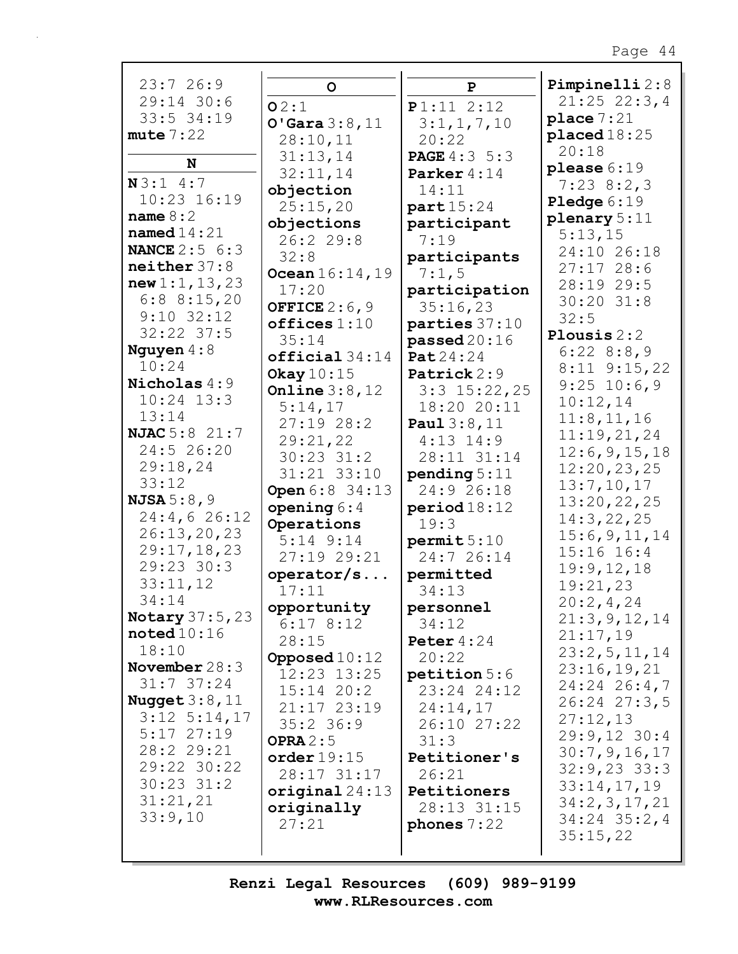| 23:726:9              | $\mathbf O$       | $\mathbf{P}$        | Pimpinelli 2:8       |
|-----------------------|-------------------|---------------------|----------------------|
| 29:14 30:6            | O2:1              | P1:11 2:12          | $21:25$ 22:3,4       |
| 33:5 34:19            |                   |                     | place $7:21$         |
|                       | O'Gara 3:8,11     | 3:1,1,7,10          |                      |
| mute 7:22             | 28:10,11          | 20:22               | placed18:25          |
|                       | 31:13,14          | <b>PAGE</b> 4:3 5:3 | 20:18                |
| N                     | 32:11,14          | Parker 4:14         | please $6:19$        |
| N3:14:7               | objection         | 14:11               | $7:23$ 8:2,3         |
| $10:23$ $16:19$       |                   |                     | <b>Pledge</b> $6:19$ |
| name $8:2$            | 25:15,20          | part 15:24          | plenary $5:11$       |
| named $14:21$         | objections        | participant         |                      |
|                       | 26:229:8          | 7:19                | 5:13,15              |
| <b>NANCE</b> 2:5 6:3  | 32:8              | participants        | 24:10 26:18          |
| neither 37:8          | Ocean $16:14, 19$ | 7:1,5               | 27:1728:6            |
| new 1:1, 13, 23       | 17:20             | participation       | 28:19 29:5           |
| $6:8$ 8:15,20         |                   |                     | $30:20$ $31:8$       |
| $9:10$ 32:12          | OFFICE $2:6,9$    | 35:16,23            | 32:5                 |
| $32:22$ $37:5$        | offices 1:10      | parties 37:10       |                      |
|                       | 35:14             | passed20:16         | Plousis $2:2$        |
| Nguyen $4:8$          | $official 34:14$  | <b>Pat</b> 24:24    | 6:228:8:8,9          |
| 10:24                 | Okay $10:15$      | Patrick 2:9         | $8:11$ $9:15$ , 22   |
| Nicholas 4:9          | Online $3:8,12$   | $3:3$ 15:22, 25     | $9:25$ 10:6,9        |
| $10:24$ $13:3$        |                   |                     | 10:12,14             |
| 13:14                 | 5:14,17           | 18:20 20:11         | 11:8, 11, 16         |
| <b>NJAC</b> 5:8 21:7  | 27:1928:2         | Paul $3:8,11$       |                      |
|                       | 29:21,22          | $4:13$ $14:9$       | 11:19,21,24          |
| 24:5 26:20            | $30:23$ $31:2$    | 28:11 31:14         | 12:6, 9, 15, 18      |
| 29:18,24              | 31:21 33:10       | pending $5:11$      | 12:20,23,25          |
| 33:12                 | Open 6:8 34:13    | 24:9 26:18          | 13:7,10,17           |
| <b>NJSA</b> $5:8,9$   |                   |                     | 13:20,22,25          |
| 24:4,626:12           | opening $6:4$     | period 18:12        | 14:3,22,25           |
| 26:13,20,23           | Operations        | 19:3                | 15:6,9,11,14         |
| 29:17,18,23           | $5:14$ $9:14$     | permit 5:10         |                      |
|                       | 27:19 29:21       | 24:7 26:14          | 15:16 16:4           |
| 29:23 30:3            | operator/s        | permitted           | 19:9,12,18           |
| 33:11,12              | 17:11             | 34:13               | 19:21,23             |
| 34:14                 | opportunity       | personnel           | 20:2,4,24            |
| Notary 37:5, 23       | 6:178:12          |                     | 21:3,9,12,14         |
| $\texttt{noted10:16}$ |                   | 34:12               | 21:17,19             |
| 18:10                 | 28:15             | Peter $4:24$        | 23:2,5,11,14         |
| November $28:3$       | Opposed $10:12$   | 20:22               |                      |
|                       | 12:23 13:25       | petition 5:6        | 23:16,19,21          |
| $31:7$ 37:24          | $15:14$ $20:2$    | 23:24 24:12         | $24:24$ 26:4,7       |
| Nugget $3:8$ , $11$   | $21:17$ $23:19$   | 24:14,17            | $26:24$ $27:3,5$     |
| $3:12$ $5:14,17$      | $35:2$ 36:9       | 26:10 27:22         | 27:12,13             |
| $5:17$ 27:19          |                   |                     | $29:9,12$ 30:4       |
| 28:2 29:21            | OPRA $2:5$        | 31:3                | 30:7,9,16,17         |
| 29:22 30:22           | order 19:15       | Petitioner's        | $32:9,23$ 33:3       |
| $30:23$ $31:2$        | 28:17 31:17       | 26:21               |                      |
|                       | original $24:13$  | Petitioners         | 33:14,17,19          |
| 31:21,21              | originally        | 28:13 31:15         | 34:2,3,17,21         |
| 33:9,10               | 27:21             | phones $7:22$       | 34:24 35:2,4         |
|                       |                   |                     | 35:15,22             |
|                       |                   |                     |                      |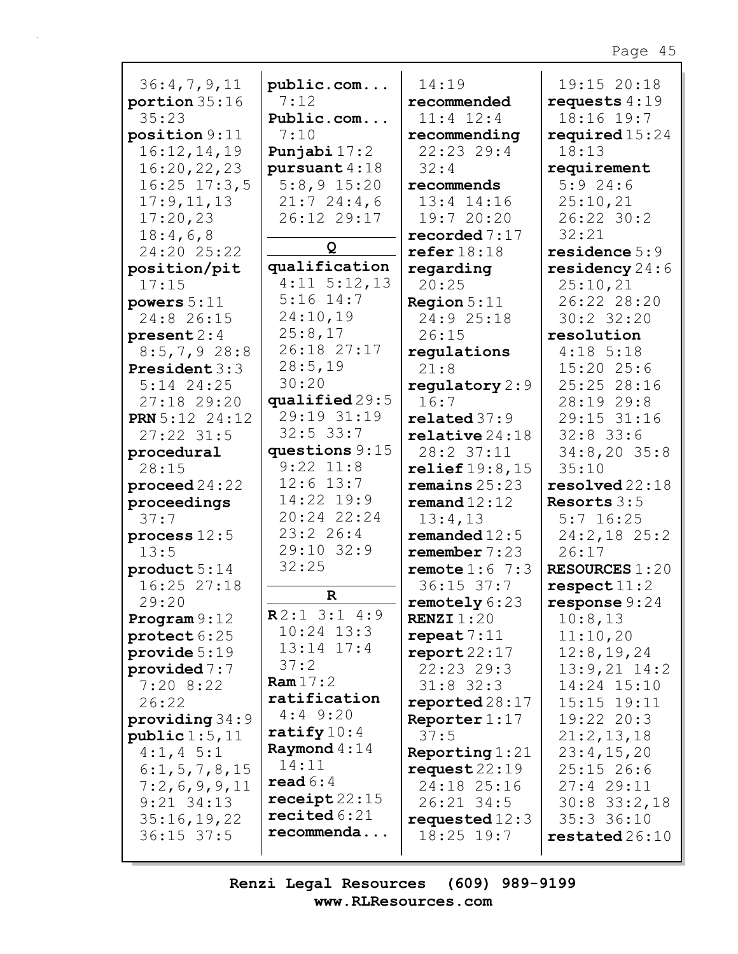| 36:4,7,9,11           | public.com                   | 14:19                          | 19:15 20:18               |
|-----------------------|------------------------------|--------------------------------|---------------------------|
| portion $35:16$       | 7:12                         | recommended                    | requests $4:19$           |
| 35:23                 | Public.com                   | $11:4$ $12:4$                  | 18:16 19:7                |
| position 9:11         | 7:10                         |                                |                           |
|                       |                              | recommending                   | required $15:24$<br>18:13 |
| 16:12,14,19           | Punjabi $17:2$               | 22:23 29:4                     |                           |
| 16:20,22,23           | pursuant 4:18                | 32:4                           | requirement               |
| $16:25$ $17:3,5$      | $5:8,9$ 15:20                | recommends                     | 5:924:6                   |
| 17:9, 11, 13          | 21:724:4,6                   | $13:4$ $14:16$                 | 25:10,21                  |
| 17:20,23              | 26:12 29:17                  | 19:7 20:20                     | 26:22 30:2                |
| 18:4,6,8              | Q                            | recorded $7:17$                | 32:21                     |
| 24:20 25:22           |                              | refer $18:18$                  | residence 5:9             |
| position/pit          | qualification                | regarding                      | residency $24:6$          |
| 17:15                 | $4:11 \quad 5:12,13$         | 20:25                          | 25:10,21                  |
| powers $5:11$         | $5:16$ 14:7                  | <b>Region</b> $5:11$           | 26:22 28:20               |
| 24:8 26:15            | 24:10,19                     | 24:9 25:18                     | 30:2 32:20                |
| present 2:4           | 25:8,17                      | 26:15                          | resolution                |
| $8:5,7,9$ 28:8        | 26:18 27:17                  | regulations                    | $4:18$ 5:18               |
| President 3:3         | 28:5,19                      | 21:8                           | 15:2025:6                 |
| $5:14$ 24:25          | 30:20                        | regulatory $2:9$               | 25:25 28:16               |
| 27:18 29:20           | qualified 29:5               | 16:7                           | 28:19 29:8                |
| <b>PRN</b> 5:12 24:12 | 29:19 31:19                  | related37:9                    | 29:15 31:16               |
| $27:22$ 31:5          | $32:5$ 33:7                  | $\texttt{relative}\,24\!:\!18$ | $32:8$ 33:6               |
| procedural            | questions $9:15$             | 28:2 37:11                     | $34:8,20$ 35:8            |
| 28:15                 | $9:22$ $11:8$                | relief $19:8,15$               | 35:10                     |
| proceed $24:22$       | $12:6$ 13:7                  | remains $25:23$                | resolved 22:18            |
| proceedings           | 14:22 19:9                   | remand $12:12$                 | Resorts $3:5$             |
| 37:7                  | 20:24 22:24                  | 13:4,13                        | $5:7$ 16:25               |
| process $12:5$        | 23:226:4                     | remanded $12:5$                | 24:2,18 25:2              |
| 13:5                  | 29:10 32:9                   | remember 7:23                  | 26:17                     |
| product 5:14          | 32:25                        | remote $1:6$ 7:3               | <b>RESOURCES 1:20</b>     |
| $16:25$ $27:18$       |                              | $36:15$ 37:7                   | respect 11:2              |
| 29:20                 | $\mathbf R$                  | remotely 6:23                  | response $9:24$           |
| Program $9:12$        | R2:13:14:9                   | <b>RENZI</b> $1:20$            | 10:8,13                   |
| protect 6:25          | $10:24$ $13:3$               | repeat 7:11                    | 11:10,20                  |
| provide $5:19$        | $13:14$ $17:4$               | $\texttt{report22:17}$         | 12:8, 19, 24              |
| provided $7:7$        | 37:2                         | 22:23 29:3                     | $13:9,21$ $14:2$          |
| 7:208:22              | Ram $17:2$                   | $31:8$ 32:3                    | 14:24 15:10               |
| 26:22                 | ratification                 | $reported 28:17$               | 15:15 19:11               |
| providing $34:9$      | $4:4$ 9:20                   | Reporter $1:17$                | $19:22$ $20:3$            |
| public 1:5, 11        | $\texttt{rality}10:4$        | 37:5                           | 21:2,13,18                |
| $4:1, 4$ 5:1          | Raymond $4:14$               | Reporting $1:21$               | 23:4,15,20                |
| 6:1, 5, 7, 8, 15      | 14:11                        | request22:19                   | $25:15$ 26:6              |
| 7:2,6,9,9,11          | $\texttt{read} 6:4$          | 24:18 25:16                    | 27:429:11                 |
| $9:21$ $34:13$        | $\texttt{received}$ 22:15    | 26:21 34:5                     | $30:8$ $33:2,18$          |
| 35:16,19,22           | $\texttt{recited}\,6\!:\!21$ | requested $12:3$               | $35:3$ $36:10$            |
| $36:15$ 37:5          | recommenda                   | $18:25$ $19:7$                 | restated26:10             |
|                       |                              |                                |                           |

Г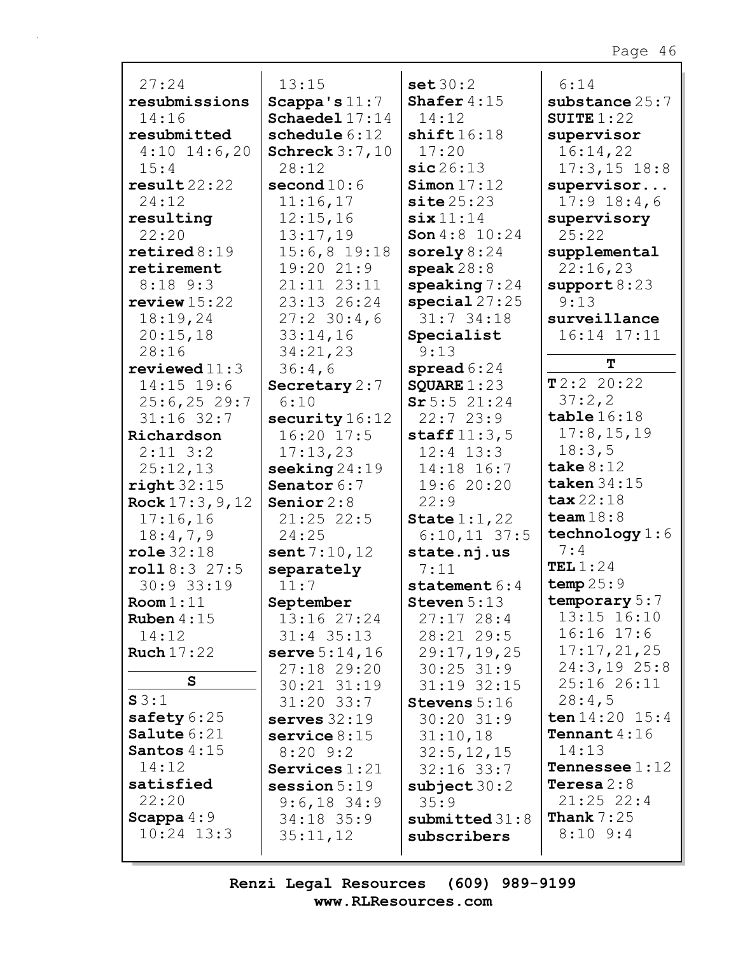| 27:24                           | 13:15                            | set 30:2                       | 6:14                          |
|---------------------------------|----------------------------------|--------------------------------|-------------------------------|
| resubmissions                   | Scappa's $11:7$                  | Shafer $4:15$                  | substance $25:7$              |
| 14:16                           | Schaedel 17:14                   | 14:12                          | SUITE $1:22$                  |
| resubmitted                     | schedule $6:12$                  | shift16:18                     | supervisor                    |
| $4:10$ 14:6,20                  | Schreck $3:7,10$                 | 17:20                          | 16:14,22                      |
| 15:4                            | 28:12                            | sic26:13                       | $17:3, 15$ 18:8               |
| result22:22                     | second $10:6$                    | Simon 17:12                    | supervisor                    |
| 24:12                           | 11:16,17                         | site 25:23                     | $17:9$ $18:4$ , 6             |
| resulting                       | 12:15,16                         | $\texttt{six} 11:14$           | supervisory                   |
| 22:20                           | 13:17,19                         | <b>Son</b> $4:8$ 10:24         | 25:22                         |
| $\texttt{retired8:19}$          | $15:6,8$ 19:18                   | sorely $8:24$                  | supplemental                  |
| retirement                      | 19:20 21:9                       | speak $28:8$                   | 22:16,23                      |
| $8:18$ $9:3$                    | 21:11 23:11                      | speaking $7:24$                | support 8:23                  |
| review $15:22$                  | 23:13 26:24                      | special27:25                   | 9:13                          |
| 18:19,24                        | $27:2$ 30:4,6                    | $31:7$ 34:18                   | surveillance                  |
| 20:15,18                        | 33:14,16                         | Specialist                     | 16:14 17:11                   |
| 28:16                           | 34:21,23                         | 9:13                           | т                             |
| reviewed $11:3$<br>$14:15$ 19:6 | 36:4,6                           | spread $6:24$<br>SQUARE $1:23$ | T2:222:20:22                  |
| $25:6, 25$ 29:7                 | Secretary $2:7$<br>6:10          | Sr5:521:24                     | 37:2,2                        |
| $31:16$ 32:7                    | security $16:12$                 | 22:723:9                       | table $16:18$                 |
| Richardson                      | 16:20 17:5                       | staff $11:3,5$                 | 17:8, 15, 19                  |
| $2:11$ $3:2$                    | 17:13,23                         | $12:4$ $13:3$                  | 18:3,5                        |
| 25:12,13                        | seeking $24:19$                  | 14:18 16:7                     | take $8:12$                   |
| right 32:15                     | Senator 6:7                      | 19:6 20:20                     | taken $34:15$                 |
| <b>Rock</b> $17:3, 9, 12$       | Senior $2:8$                     | 22:9                           | $\texttt{tax}22:18$           |
| 17:16,16                        | $21:25$ 22:5                     | State $1:1,22$                 | team $18:8$                   |
| 18:4,7,9                        | 24:25                            | $6:10,11$ 37:5                 | technology $1:6$              |
| role 32:18                      | sent 7:10, 12                    | state.nj.us                    | 7:4                           |
| roll8:327:5                     | separately                       | 7:11                           | TEL $1:24$                    |
| 30:9 33:19                      | 11:7                             | statement $6:4$                | temp25:9                      |
| Room 1:11                       | September                        | Steven $5:13$                  | temporary 5:7                 |
| Ruben $4:15$                    | 13:16 27:24                      | 27:1728:4                      | 13:15 16:10                   |
| 14:12                           | $31:4$ 35:13                     | 28:21 29:5                     | $16:16$ $17:6$                |
| Ruch $17:22$                    | serve $5:14,16$                  | 29:17,19,25                    | 17:17,21,25                   |
| S                               | 27:18 29:20                      | $30:25$ 31:9                   | $24:3,19$ 25:8<br>25:16 26:11 |
| S3:1                            | $30:21$ $31:19$                  | $31:19$ $32:15$                | 28:4,5                        |
| safety 6:25                     | $31:20$ $33:7$                   | Stevens 5:16<br>$30:20$ $31:9$ | ten 14:20 15:4                |
| Salute 6:21                     | serves $32:19$<br>service $8:15$ |                                | <b>Tennant</b> $4:16$         |
| Santos $4:15$                   | $8:20$ 9:2                       | 31:10,18<br>32:5, 12, 15       | 14:13                         |
| 14:12                           | Services $1:21$                  | $32:16$ $33:7$                 | <b>Tennessee</b> $1:12$       |
| satisfied                       | $s$ ession $5:19$                | subject $30:2$                 | Teresa $2:8$                  |
| 22:20                           | $9:6,18$ 34:9                    | 35:9                           | $21:25$ 22:4                  |
| Scappa $4:9$                    | $34:18$ 35:9                     | submitted $31:8$               | <b>Thank</b> $7:25$           |
| $10:24$ 13:3                    | 35:11,12                         | subscribers                    | $8:10$ 9:4                    |
|                                 |                                  |                                |                               |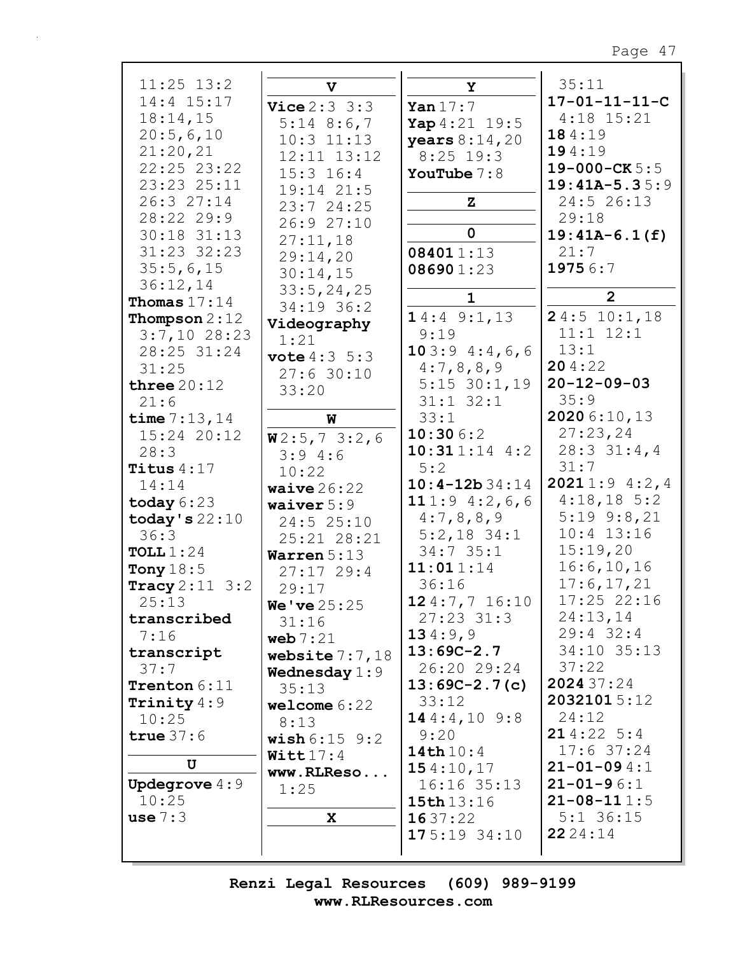| $11:25$ $13:2$            | v                        | Y                      | 35:11                   |
|---------------------------|--------------------------|------------------------|-------------------------|
| 14:4 15:17                | <b>Vice</b> $2:3 \ 3:3$  | Yan $17:7$             | $17 - 01 - 11 - 11 - C$ |
| 18:14,15                  |                          |                        | $4:18$ 15:21            |
| 20:5,6,10                 | $5:14$ 8:6,7             | Yap $4:21$ 19:5        | 184:19                  |
|                           | $10:3$ $11:13$           | <b>years</b> $8:14,20$ |                         |
| 21:20,21                  | 12:11 13:12              | $8:25$ 19:3            | 194:19                  |
| 22:25 23:22               | $15:3$ $16:4$            | YouTube $7:8$          | $19 - 000 - CK 5:5$     |
| 23:23 25:11               | 19:14 21:5               |                        | $19:41A-5.35:9$         |
| 26:3 27:14                | 23:7 24:25               | ${\bf z}$              | 24:5 26:13              |
| 28:22 29:9                | 26:9 27:10               |                        | 29:18                   |
| 30:18 31:13               |                          | $\mathbf 0$            | $19:41A-6.1(f)$         |
| 31:23 32:23               | 27:11,18                 | 084011:13              | 21:7                    |
|                           | 29:14,20                 |                        |                         |
| 35:5,6,15                 | 30:14,15                 | 086901:23              | 19756:7                 |
| 36:12,14                  | 33:5, 24, 25             |                        |                         |
| Thomas $17:14$            | 34:19 36:2               | $\mathbf{1}$           | $\overline{2}$          |
| Thompson $2:12$           | Videography              | 14:49::1,13            | 24:510:1,18             |
| $3:7,10$ 28:23            | 1:21                     | 9:19                   | $11:1$ $12:1$           |
| 28:25 31:24               |                          | 103:94::4,6,6          | 13:1                    |
| 31:25                     | <b>vote</b> $4:3 \ 5:3$  | 4:7,8,8,9              | 204:22                  |
|                           | 27:630:10                |                        | $20 - 12 - 09 - 03$     |
| three $20:12$             | 33:20                    | $5:15$ 30:1,19         |                         |
| 21:6                      |                          | $31:1$ $32:1$          | 35:9                    |
| time $7:13,14$            | W                        | 33:1                   | 2020 6:10,13            |
| 15:24 20:12               | W2:5,73:2,6              | 10:306:2               | 27:23,24                |
| 28:3                      | 3:94:6                   | 10:311:144:2           | $28:3$ 31:4,4           |
| Titus $4:17$              | 10:22                    | 5:2                    | 31:7                    |
| 14:14                     | waive $26:22$            | $10:4-12b34:14$        | 20211:94:2,4            |
| today $6:23$              | waiver $5:9$             | 111:9 $4:2,6,6$        | $4:18,18$ 5:2           |
| today's $22:10$           | 24:5 25:10               | 4:7,8,8,9              | $5:19$ $9:8,21$         |
| 36:3                      | 25:21 28:21              | $5:2,18$ 34:1          | $10:4$ 13:16            |
| TOLL $1:24$               |                          | 34:735:1               | 15:19,20                |
| Tony $18:5$               | Warren $5:13$            | 11:011:14              | 16:6, 10, 16            |
|                           | 27:1729:4                | 36:16                  | 17:6, 17, 21            |
| <b>Tracy</b> $2:11 \ 3:2$ | 29:17                    |                        |                         |
| 25:13                     | <b>We've</b> $25:25$     | 124:7,716:10           | $17:25$ 22:16           |
| transcribed               | 31:16                    | $27:23$ 31:3           | 24:13,14                |
| 7:16                      | web $7:21$               | 134:9,9                | $29:4$ 32:4             |
| transcript                | website $7:7,18$         | $13:69C-2.7$           | 34:10 35:13             |
| 37:7                      | Wednesday $1:9$          | 26:20 29:24            | 37:22                   |
| Trenton 6:11              | 35:13                    | $13:69C-2.7(c)$        | 2024 37:24              |
| Trinity $4:9$             | welcome 6:22             | 33:12                  | 20321015:12             |
| 10:25                     | 8:13                     | 144::4,109:8           | 24:12                   |
| true $37:6$               | <b>wish</b> $6:15$ $9:2$ | 9:20                   | 214:225:4               |
|                           |                          | 14th $10:4$            | $17:6$ 37:24            |
| U                         | $W$ itt $17:4$           | 154:10,17              | $21 - 01 - 094:1$       |
| <b>Updegrove</b> $4:9$    | www.RLReso               | $16:16$ 35:13          | $21 - 01 - 96:1$        |
| 10:25                     | 1:25                     | 15th 13:16             | $21 - 08 - 111 : 5$     |
| use $7:3$                 | X                        | 1637:22                | $5:1$ 36:15             |
|                           |                          |                        |                         |
|                           |                          | 175:1934:10            | 22 24 : 14              |
|                           |                          |                        |                         |